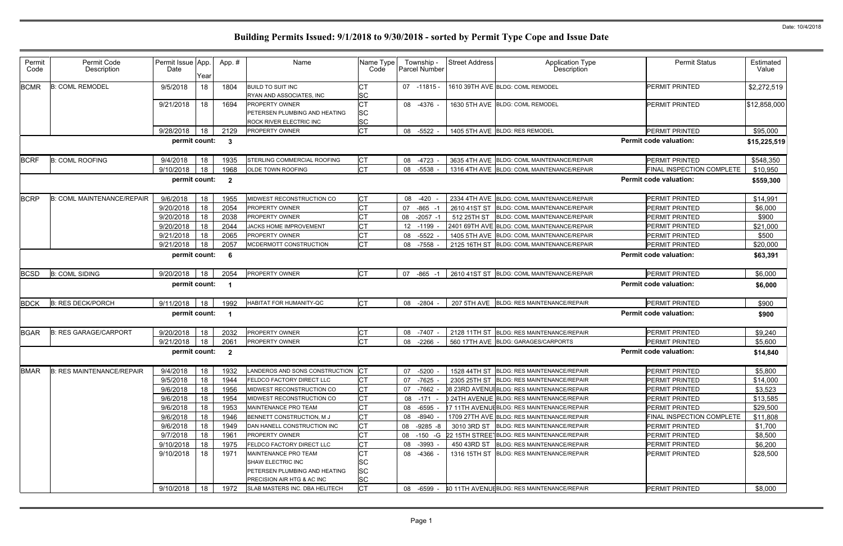| Permit<br>Code | Permit Code<br>Description        | Permit Issue App.<br>Date | Year | App. #                  | Name                                                        | Name Type<br>Code      | Township -<br><b>Parcel Number</b> | <b>Street Address</b> | <b>Application Type</b><br>Description      | <b>Permit Status</b>          | Estimated<br>Value |
|----------------|-----------------------------------|---------------------------|------|-------------------------|-------------------------------------------------------------|------------------------|------------------------------------|-----------------------|---------------------------------------------|-------------------------------|--------------------|
| <b>BCMR</b>    | <b>B: COML REMODEL</b>            | 9/5/2018                  | 18   | 1804                    | <b>BUILD TO SUIT INC</b><br>RYAN AND ASSOCIATES, INC        | <b>CT</b><br><b>SC</b> | 07 -11815 -                        |                       | 1610 39TH AVE BLDG: COML REMODEL            | <b>PERMIT PRINTED</b>         | \$2,272,519        |
|                |                                   | 9/21/2018                 | 18   | 1694                    | <b>PROPERTY OWNER</b>                                       | <b>CT</b>              | 08 -4376 -                         |                       | 1630 5TH AVE BLDG: COML REMODEL             | <b>PERMIT PRINTED</b>         | \$12,858,000       |
|                |                                   |                           |      |                         | PETERSEN PLUMBING AND HEATING                               | <b>SC</b>              |                                    |                       |                                             |                               |                    |
|                |                                   |                           |      |                         | ROCK RIVER ELECTRIC INC                                     | <b>SC</b>              |                                    |                       |                                             |                               |                    |
|                |                                   | 9/28/2018                 | 18   | 2129                    | PROPERTY OWNER                                              | <b>CT</b>              | 08 -5522                           |                       | 1405 5TH AVE BLDG: RES REMODEL              | <b>PERMIT PRINTED</b>         | \$95,000           |
|                |                                   | permit count:             |      | $\mathbf{3}$            |                                                             |                        |                                    |                       |                                             | <b>Permit code valuation:</b> | \$15,225,519       |
| <b>BCRF</b>    | <b>B: COML ROOFING</b>            | 9/4/2018                  | 18   | 1935                    | STERLING COMMERCIAL ROOFING                                 | <b>CT</b>              | 08 -4723                           |                       | 3635 4TH AVE BLDG: COML MAINTENANCE/REPAIR  | <b>PERMIT PRINTED</b>         | \$548,350          |
|                |                                   | 9/10/2018                 | 18   | 1968                    | OLDE TOWN ROOFING                                           | <b>CT</b>              | 08 -5538                           |                       | 1316 4TH AVE BLDG: COML MAINTENANCE/REPAIR  | FINAL INSPECTION COMPLETE     | \$10,950           |
|                |                                   | permit count:             |      | $\overline{\mathbf{2}}$ |                                                             |                        |                                    |                       |                                             | <b>Permit code valuation:</b> | \$559,300          |
| <b>BCRP</b>    | <b>B: COML MAINTENANCE/REPAIR</b> | 9/6/2018                  | 18   | 1955                    | MIDWEST RECONSTRUCTION CO                                   | <b>CT</b>              | 08 -420                            |                       | 2334 4TH AVE BLDG: COML MAINTENANCE/REPAIR  | <b>PERMIT PRINTED</b>         | \$14,991           |
|                |                                   | 9/20/2018                 | 18   | 2054                    | PROPERTY OWNER                                              | <b>CT</b>              | $-865 - 1$<br>07                   |                       | 2610 41ST ST BLDG: COML MAINTENANCE/REPAIR  | <b>PERMIT PRINTED</b>         | \$6,000            |
|                |                                   | 9/20/2018                 | 18   | 2038                    | <b>PROPERTY OWNER</b>                                       | <b>CT</b>              | 08<br>$-2057 - 7$                  | 512 25TH ST           | BLDG: COML MAINTENANCE/REPAIR               | <b>PERMIT PRINTED</b>         | \$900              |
|                |                                   | 9/20/2018                 | 18   | 2044                    | JACKS HOME IMPROVEMENT                                      | СT                     | 12 -1199                           |                       | 2401 69TH AVE BLDG: COML MAINTENANCE/REPAIR | <b>PERMIT PRINTED</b>         | \$21,000           |
|                |                                   | 9/21/2018                 | 18   | 2065                    | <b>PROPERTY OWNER</b>                                       | <b>CT</b>              | -5522<br>08                        |                       | 1405 5TH AVE BLDG: COML MAINTENANCE/REPAIR  | <b>PERMIT PRINTED</b>         | \$500              |
|                |                                   | 9/21/2018                 | 18   | 2057                    | MCDERMOTT CONSTRUCTION                                      | <b>CT</b>              | 08 -7558                           |                       | 2125 16TH ST BLDG: COML MAINTENANCE/REPAIR  | <b>PERMIT PRINTED</b>         | \$20,000           |
|                |                                   | permit count:             |      | 6                       |                                                             |                        |                                    |                       |                                             | <b>Permit code valuation:</b> | \$63,391           |
| <b>BCSD</b>    | <b>B: COML SIDING</b>             | 9/20/2018                 | 18   | 2054                    | <b>PROPERTY OWNER</b>                                       | <b>CT</b>              | $-865 - 1$<br>07                   |                       | 2610 41ST ST BLDG: COML MAINTENANCE/REPAIR  | <b>PERMIT PRINTED</b>         | \$6,000            |
|                |                                   | permit count:             |      | - 1                     |                                                             |                        |                                    |                       |                                             | <b>Permit code valuation:</b> | \$6,000            |
| <b>BDCK</b>    | <b>B: RES DECK/PORCH</b>          | 9/11/2018                 | 18   | 1992                    | HABITAT FOR HUMANITY-QC                                     | <b>CT</b>              | 08 -2804                           |                       | 207 5TH AVE BLDG: RES MAINTENANCE/REPAIR    | PERMIT PRINTED                | \$900              |
|                |                                   | permit count:             |      | - 1                     |                                                             |                        |                                    |                       |                                             | <b>Permit code valuation:</b> | \$900              |
| <b>BGAR</b>    | <b>B: RES GARAGE/CARPORT</b>      | 9/20/2018                 | 18   | 2032                    | <b>PROPERTY OWNER</b>                                       | CT                     | 08 -7407                           |                       | 2128 11TH ST BLDG: RES MAINTENANCE/REPAIR   | <b>PERMIT PRINTED</b>         | \$9,240            |
|                |                                   | 9/21/2018                 | 18   | 2061                    | PROPERTY OWNER                                              | <b>CT</b>              | $-2266$<br>08                      |                       | 560 17TH AVE BLDG: GARAGES/CARPORTS         | <b>PERMIT PRINTED</b>         | \$5,600            |
|                |                                   | permit count:             |      | $\overline{2}$          |                                                             |                        |                                    |                       |                                             | <b>Permit code valuation:</b> | \$14,840           |
| <b>BMAR</b>    | <b>B: RES MAINTENANCE/REPAIR</b>  | 9/4/2018                  | 18   | 1932                    | ANDEROS AND SONS CONSTRUCTION                               | $ _{\rm CT}$           | 07 -5200 -                         |                       | 1528 44TH ST BLDG: RES MAINTENANCE/REPAIR   | <b>PERMIT PRINTED</b>         | \$5,800            |
|                |                                   | 9/5/2018                  | 18   | 1944                    | <b>FELDCO FACTORY DIRECT LLC</b>                            | <b>CT</b>              | 07 -7625 -                         |                       | 2305 25TH ST BLDG: RES MAINTENANCE/REPAIR   | PERMIT PRINTED                | \$14,000           |
|                |                                   | 9/6/2018                  | 18   | 1956                    | MIDWEST RECONSTRUCTION CO                                   | <b>CT</b>              | 07<br>-7662 -                      |                       | 08 23RD AVENUIBLDG: RES MAINTENANCE/REPAIR  | PERMIT PRINTED                | \$3,523            |
|                |                                   | 9/6/2018                  | 18   | 1954                    | MIDWEST RECONSTRUCTION CO                                   | СT                     | 08 -171 -                          |                       | 0 24TH AVENUE BLDG: RES MAINTENANCE/REPAIR  | PERMIT PRINTED                | \$13,585           |
|                |                                   | 9/6/2018                  | 18   | 1953                    | MAINTENANCE PRO TEAM                                        | <b>CT</b>              | 08 -6595                           |                       | 17 11TH AVENUEBLDG: RES MAINTENANCE/REPAIR  | PERMIT PRINTED                | \$29,500           |
|                |                                   | 9/6/2018                  | 18   | 1946                    | BENNETT CONSTRUCTION, M J                                   | <b>CT</b>              | 08<br>-8940 -                      |                       | 1709 27TH AVE BLDG: RES MAINTENANCE/REPAIR  | FINAL INSPECTION COMPLETE     | \$11,808           |
|                |                                   | 9/6/2018                  | 18   | 1949                    | DAN HANELL CONSTRUCTION INC                                 | <b>CT</b>              | 08<br>$-9285 - 8$                  |                       | 3010 3RD ST BLDG: RES MAINTENANCE/REPAIR    | <b>PERMIT PRINTED</b>         | \$1,700            |
|                |                                   | 9/7/2018                  | 18   | 1961                    | <b>PROPERTY OWNER</b>                                       |                        | 08<br>-150 -G                      |                       | 22 15TH STREET BLDG: RES MAINTENANCE/REPAIR | PERMIT PRINTED                | \$8,500            |
|                |                                   | 9/10/2018                 | 18   | 1975                    | <b>FELDCO FACTORY DIRECT LLC</b>                            | CT                     | 08 -3993                           |                       | 450 43RD ST BLDG: RES MAINTENANCE/REPAIR    | PERMIT PRINTED                | \$6,200            |
|                |                                   | 9/10/2018                 | 18   | 1971                    | MAINTENANCE PRO TEAM                                        | <b>CT</b>              | 08 -4366 -                         |                       | 1316 15TH ST BLDG: RES MAINTENANCE/REPAIR   | <b>PERMIT PRINTED</b>         | \$28,500           |
|                |                                   |                           |      |                         | SHAW ELECTRIC INC                                           | <b>SC</b>              |                                    |                       |                                             |                               |                    |
|                |                                   |                           |      |                         | PETERSEN PLUMBING AND HEATING<br>PRECISION AIR HTG & AC INC | <b>SC</b><br><b>SC</b> |                                    |                       |                                             |                               |                    |
|                |                                   | 9/10/2018                 | 18   | 1972                    | SLAB MASTERS INC. DBA HELITECH                              | <b>CT</b>              | 08 -6599                           |                       | 40 11TH AVENUIBLDG: RES MAINTENANCE/REPAIR  | <b>PERMIT PRINTED</b>         | \$8,000            |
|                |                                   |                           |      |                         |                                                             |                        |                                    |                       |                                             |                               |                    |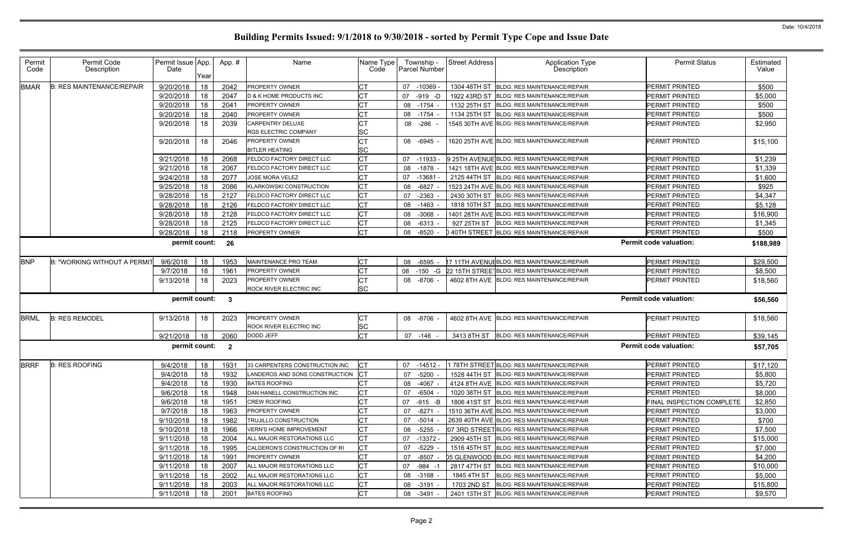| <b>Permit Status</b>      | Estimated<br>Value |
|---------------------------|--------------------|
|                           |                    |
| PERMIT PRINTED            | \$500              |
| PERMIT PRINTED            | \$5,000            |
| PERMIT PRINTED            | \$500              |
| PERMIT PRINTED            | \$500              |
| PERMIT PRINTED            | \$2,950            |
| <b>PERMIT PRINTED</b>     | \$15,100           |
| PERMIT PRINTED            | \$1,239            |
| PERMIT PRINTED            | \$1,339            |
| PERMIT PRINTED            | \$1,600            |
| PERMIT PRINTED            | \$925              |
| PERMIT PRINTED            | \$4,347            |
| PERMIT PRINTED            | \$5,128            |
| PERMIT PRINTED            | \$16,900           |
| PERMIT PRINTED            | \$1,345            |
| PERMIT PRINTED            | \$500              |
| rmit code valuation:      | \$188,989          |
|                           |                    |
| PERMIT PRINTED            | \$29,500           |
| PERMIT PRINTED            | \$8,500            |
| PERMIT PRINTED            | \$18,560           |
| rmit code valuation:      | \$56,560           |
| PERMIT PRINTED            | \$18,560           |
| PERMIT PRINTED            | \$39,145           |
| rmit code valuation:      | \$57,705           |
|                           |                    |
|                           |                    |
| PERMIT PRINTED            | \$17,120           |
| PERMIT PRINTED            | \$5,800            |
| PERMIT PRINTED            | \$5,720            |
| PERMIT PRINTED            | \$8,000            |
| FINAL INSPECTION COMPLETE | \$2,850            |
| PERMIT PRINTED            | <u>\$3,000</u>     |
| PERMIT PRINTED            | \$700              |
| PERMIT PRINTED            | \$7,500            |
| PERMIT PRINTED            | \$15,000           |
| PERMIT PRINTED            | \$7,000            |
| PERMIT PRINTED            | \$4,200            |
| PERMIT PRINTED            | \$10,000           |
| PERMIT PRINTED            | \$5,000            |
| PERMIT PRINTED            | \$15,800           |
| PERMIT PRINTED            | \$9,570            |

| Permit Code<br><b>Permit Status</b><br>Permit<br>Permit Issue App.<br><b>Street Address</b><br><b>Application Type</b><br>App.#<br>Name<br>Name Type<br>Township -<br>Description<br>Description<br>Parcel Number<br>Value<br>Code<br>Date<br>Code<br>Year<br>9/20/2018<br><b>B: RES MAINTENANCE/REPAIR</b><br>18<br>2042<br><b>CT</b><br><b>PERMIT PRINTED</b><br>\$500<br>PROPERTY OWNER<br>07 -10369<br>1304 48TH ST BLDG: RES MAINTENANCE/REPAIR<br>9/20/2018<br>18<br>2047<br>D & K HOME PRODUCTS INC<br>1922 43RD ST BLDG: RES MAINTENANCE/REPAIR<br>\$5,000<br>07<br>-919 -D<br>PERMIT PRINTED<br>18<br><b>CT</b><br>\$500<br>9/20/2018<br>2041<br>PROPERTY OWNER<br>08 -1754<br>1132 25TH ST BLDG: RES MAINTENANCE/REPAIR<br>PERMIT PRINTED<br>9/20/2018<br>18<br>2040<br><b>PROPERTY OWNER</b><br>08 -1754<br>1134 25TH ST BLDG: RES MAINTENANCE/REPAIR<br><b>PERMIT PRINTED</b><br>\$500<br>2039<br>\$2,950<br>9/20/2018<br>18<br>CARPENTRY DELUXE<br>08 -286<br>1545 30TH AVE BLDG: RES MAINTENANCE/REPAIR<br><b>PERMIT PRINTED</b><br><b>SC</b><br><b>RGS ELECTRIC COMPANY</b><br>9/20/2018<br>18<br>2046<br><b>CT</b><br>PERMIT PRINTED<br><b>PROPERTY OWNER</b><br>08 -6945<br>1620 25TH AVE BLDG: RES MAINTENANCE/REPAIR<br><b>SC</b><br><b>BITLER HEATING</b><br><b>CT</b><br>18<br>2068<br>PERMIT PRINTED<br>9/21/2018<br>9 25TH AVENUE BLDG: RES MAINTENANCE/REPAIR<br>\$1,239<br>FELDCO FACTORY DIRECT LLC<br>07<br>-11933<br><b>CT</b><br>9/21/2018<br>18<br>2067<br>\$1,339<br>FELDCO FACTORY DIRECT LLC<br>08 -1878<br>1421 18TH AVE BLDG: RES MAINTENANCE/REPAIR<br><b>PERMIT PRINTED</b><br>9/24/2018<br>18<br>2077<br>$-13681$<br>PERMIT PRINTED<br>\$1,600<br><b>JOSE MORA VELEZ</b><br>2125 44TH ST BLDG: RES MAINTENANCE/REPAIR<br>07<br>18<br><b>CT</b><br>9/25/2018<br>2086<br>\$925<br>KLARKOWSKI CONSTRUCTION<br>08 - 6827<br>1523 24TH AVE BLDG: RES MAINTENANCE/REPAIR<br><b>PERMIT PRINTED</b><br>9/28/2018<br>18<br>2127<br><b>CT</b><br>PERMIT PRINTED<br>\$4,347<br>FELDCO FACTORY DIRECT LLC<br>$-2363$<br>2430 30TH ST<br>07<br><b>BLDG: RES MAINTENANCE/REPAIR</b><br>18<br>CT<br>9/28/2018<br>2126<br><b>FELDCO FACTORY DIRECT LLC</b><br>1818 10TH ST BLDG: RES MAINTENANCE/REPAIR<br>\$5,128<br>08 -1463<br><b>PERMIT PRINTED</b><br>18<br><b>CT</b><br>9/28/2018<br>2128<br>FELDCO FACTORY DIRECT LLC<br><b>PERMIT PRINTED</b><br>\$16,900<br>08 -3068<br>1401 28TH AVE BLDG: RES MAINTENANCE/REPAIR<br>18<br><b>CT</b><br><b>FELDCO FACTORY DIRECT LLC</b><br>9/28/2018<br>2125<br><b>BLDG: RES MAINTENANCE/REPAIR</b><br>PERMIT PRINTED<br>\$1,345<br>08 -6313<br>927 25TH ST<br>Iст<br>18<br>9/28/2018<br>2118<br>PROPERTY OWNER<br>08 -8520<br>40TH STREET BLDG: RES MAINTENANCE/REPAIR<br><b>PERMIT PRINTED</b><br>\$500<br><b>Permit code valuation:</b><br>permit count:<br>26<br>9/6/2018<br>18<br>MAINTENANCE PRO TEAM<br>Iст<br>17 11TH AVENUIBLDG: RES MAINTENANCE/REPAIR<br>\$29,500<br><b>B: "WORKING WITHOUT A PERMIT</b><br>1953<br>08 -6595<br><b>PERMIT PRINTED</b><br>18<br>1961<br>22 15TH STREETBLDG: RES MAINTENANCE/REPAIR<br>\$8,500<br>9/7/2018<br><b>PROPERTY OWNER</b><br>08<br>-150 -G<br>PERMIT PRINTED<br><b>CT</b><br>9/13/2018<br>18<br>2023<br>PROPERTY OWNER<br>4602 8TH AVE BLDG: RES MAINTENANCE/REPAIR<br>08 -8706<br><b>PERMIT PRINTED</b><br><b>SC</b><br>ROCK RIVER ELECTRIC INC<br><b>Permit code valuation:</b><br>permit count: 3<br><b>B: RES REMODEL</b><br>9/13/2018<br>2023<br>PROPERTY OWNER<br>4602 8TH AVE BLDG: RES MAINTENANCE/REPAIR<br><b>PERMIT PRINTED</b><br>\$18,560<br>18<br><b>CT</b><br>08 -8706<br><b>SC</b><br>ROCK RIVER ELECTRIC INC<br><b>CT</b><br>18<br>9/21/2018<br>2060<br>DODD JEFF<br>3413 8TH ST BLDG: RES MAINTENANCE/REPAIR<br><b>PERMIT PRINTED</b><br>07 -146<br><b>Permit code valuation:</b><br>permit count:<br>$\overline{\phantom{a}}$<br>BRRF B: RES ROOFING<br>9/4/2018 18 1931 33 CARPENTERS CONSTRUCTION INC CT<br>07 -14512 - 178TH STREET BLDG: RES MAINTENANCE/REPAIR<br>\$17,120<br>PERMIT PRINTED<br>18<br>9/4/2018<br><b>ICT</b><br>PERMIT PRINTED<br>\$5,800<br>1932<br>LANDEROS AND SONS CONSTRUCTION<br>07 -5200<br>1528 44TH ST BLDG: RES MAINTENANCE/REPAIR<br>9/4/2018<br><b>CT</b><br>18<br>1930<br>\$5,720<br><b>BATES ROOFING</b><br>4124 8TH AVE BLDG: RES MAINTENANCE/REPAIR<br>PERMIT PRINTED<br>08 -4067<br><b>CT</b><br>9/6/2018<br>18<br><b>PERMIT PRINTED</b><br>1948<br>DAN HANELL CONSTRUCTION INC<br>-6504<br>1020 38TH ST BLDG: RES MAINTENANCE/REPAIR<br>\$8,000<br>07<br><b>CT</b><br>9/6/2018<br>18<br>1951<br>\$2,850<br><b>CREW ROOFING</b><br>07 -915 -B<br>1806 41ST ST BLDG: RES MAINTENANCE/REPAIR<br>FINAL INSPECTION COMPLETE<br>9/7/2018<br>18<br>1963<br><b>PERMIT PRINTED</b><br>\$3,000<br>PROPERTY OWNER<br>07 -8271<br>1510 36TH AVE BLDG: RES MAINTENANCE/REPAIR<br>9/10/2018<br>18<br>1982<br><b>PERMIT PRINTED</b><br>\$700<br>TRUJILLO CONSTRUCTION<br>07 -5014<br>2639 40TH AVE BLDG: RES MAINTENANCE/REPAIR<br>9/10/2018<br>18<br>\$7,500<br>1966<br>08 -5255<br>07 3RD STREET BLDG: RES MAINTENANCE/REPAIR<br>PERMIT PRINTED<br><b>VERN'S HOME IMPROVEMENT</b><br>18<br>IСТ<br>9/11/2018<br>2004<br>ALL MAJOR RESTORATIONS LLC<br>2909 45TH ST BLDG: RES MAINTENANCE/REPAIR<br>PERMIT PRINTED<br>\$15,000<br>07 -13372<br>9/11/2018<br>18<br>1995<br>\$7,000<br>-5229<br><b>PERMIT PRINTED</b><br>CALDERON'S CONSTRUCTION OF RI<br>07<br>1516 45TH ST BLDG: RES MAINTENANCE/REPAIR<br>9/11/2018<br>18<br>1991<br><b>PROPERTY OWNER</b><br>05 GLENWOOD IBLDG: RES MAINTENANCE/REPAIR<br>PERMIT PRINTED<br>\$4,200<br>07<br>-8507<br><b>CT</b><br>9/11/2018<br>18<br>2007<br>PERMIT PRINTED<br>\$10,000<br>ALL MAJOR RESTORATIONS LLC<br>2817 47TH ST BLDG: RES MAINTENANCE/REPAIR<br>07 -984 -1<br><b>CT</b><br>9/11/2018<br>18<br>2002<br>ALL MAJOR RESTORATIONS LLC<br>BLDG: RES MAINTENANCE/REPAIR<br>PERMIT PRINTED<br>\$5,000<br>1845 4TH ST<br>08 -3168<br><b>CT</b><br>9/11/2018<br>18<br>2003<br>PERMIT PRINTED<br>\$15,800<br>08 -3191<br>1703 2ND ST<br>ALL MAJOR RESTORATIONS LLC<br><b>BLDG: RES MAINTENANCE/REPAIR</b><br><b>CT</b><br>9/11/2018<br>18<br>2001<br><b>BATES ROOFING</b><br>2401 13TH ST BLDG: RES MAINTENANCE/REPAIR<br>PERMIT PRINTED<br>\$9,570<br>08 -3491 |             |  |  |  |  |  |           |
|------------------------------------------------------------------------------------------------------------------------------------------------------------------------------------------------------------------------------------------------------------------------------------------------------------------------------------------------------------------------------------------------------------------------------------------------------------------------------------------------------------------------------------------------------------------------------------------------------------------------------------------------------------------------------------------------------------------------------------------------------------------------------------------------------------------------------------------------------------------------------------------------------------------------------------------------------------------------------------------------------------------------------------------------------------------------------------------------------------------------------------------------------------------------------------------------------------------------------------------------------------------------------------------------------------------------------------------------------------------------------------------------------------------------------------------------------------------------------------------------------------------------------------------------------------------------------------------------------------------------------------------------------------------------------------------------------------------------------------------------------------------------------------------------------------------------------------------------------------------------------------------------------------------------------------------------------------------------------------------------------------------------------------------------------------------------------------------------------------------------------------------------------------------------------------------------------------------------------------------------------------------------------------------------------------------------------------------------------------------------------------------------------------------------------------------------------------------------------------------------------------------------------------------------------------------------------------------------------------------------------------------------------------------------------------------------------------------------------------------------------------------------------------------------------------------------------------------------------------------------------------------------------------------------------------------------------------------------------------------------------------------------------------------------------------------------------------------------------------------------------------------------------------------------------------------------------------------------------------------------------------------------------------------------------------------------------------------------------------------------------------------------------------------------------------------------------------------------------------------------------------------------------------------------------------------------------------------------------------------------------------------------------------------------------------------------------------------------------------------------------------------------------------------------------------------------------------------------------------------------------------------------------------------------------------------------------------------------------------------------------------------------------------------------------------------------------------------------------------------------------------------------------------------------------------------------------------------------------------------------------------------------------------------------------------------------------------------------------------------------------------------------------------------------------------------------------------------------------------------------------------------------------------------------------------------------------------------------------------------------------------------------------------------------------------------------------------------------------------------------------------------------------------------------------------------------------------------------------------------------------------------------------------------------------------------------------------------------------------------------------------------------------------------------------------------------------------------------------------------------------------------------------------------------------------------------------------------------------------------------------------------------------------------------------------------------------------------------------------------------------------------------------------------------------------------------------------------------------------------------------------------------------------------------------------------------------------------------------------------------------------------------------------------------------------------------------------------------------------------------------------------------------------------------------------------------------------------------------------------------------------------------------------------------------------------------------------------------------------------------------------------------------------------------------------------------------------------------------------------------------------------------------------------------------------------------------------------------------------------------------------------------------|-------------|--|--|--|--|--|-----------|
|                                                                                                                                                                                                                                                                                                                                                                                                                                                                                                                                                                                                                                                                                                                                                                                                                                                                                                                                                                                                                                                                                                                                                                                                                                                                                                                                                                                                                                                                                                                                                                                                                                                                                                                                                                                                                                                                                                                                                                                                                                                                                                                                                                                                                                                                                                                                                                                                                                                                                                                                                                                                                                                                                                                                                                                                                                                                                                                                                                                                                                                                                                                                                                                                                                                                                                                                                                                                                                                                                                                                                                                                                                                                                                                                                                                                                                                                                                                                                                                                                                                                                                                                                                                                                                                                                                                                                                                                                                                                                                                                                                                                                                                                                                                                                                                                                                                                                                                                                                                                                                                                                                                                                                                                                                                                                                                                                                                                                                                                                                                                                                                                                                                                                                                                                                                                                                                                                                                                                                                                                                                                                                                                                                                                                                                                              |             |  |  |  |  |  | Estimated |
|                                                                                                                                                                                                                                                                                                                                                                                                                                                                                                                                                                                                                                                                                                                                                                                                                                                                                                                                                                                                                                                                                                                                                                                                                                                                                                                                                                                                                                                                                                                                                                                                                                                                                                                                                                                                                                                                                                                                                                                                                                                                                                                                                                                                                                                                                                                                                                                                                                                                                                                                                                                                                                                                                                                                                                                                                                                                                                                                                                                                                                                                                                                                                                                                                                                                                                                                                                                                                                                                                                                                                                                                                                                                                                                                                                                                                                                                                                                                                                                                                                                                                                                                                                                                                                                                                                                                                                                                                                                                                                                                                                                                                                                                                                                                                                                                                                                                                                                                                                                                                                                                                                                                                                                                                                                                                                                                                                                                                                                                                                                                                                                                                                                                                                                                                                                                                                                                                                                                                                                                                                                                                                                                                                                                                                                                              | <b>BMAR</b> |  |  |  |  |  |           |
|                                                                                                                                                                                                                                                                                                                                                                                                                                                                                                                                                                                                                                                                                                                                                                                                                                                                                                                                                                                                                                                                                                                                                                                                                                                                                                                                                                                                                                                                                                                                                                                                                                                                                                                                                                                                                                                                                                                                                                                                                                                                                                                                                                                                                                                                                                                                                                                                                                                                                                                                                                                                                                                                                                                                                                                                                                                                                                                                                                                                                                                                                                                                                                                                                                                                                                                                                                                                                                                                                                                                                                                                                                                                                                                                                                                                                                                                                                                                                                                                                                                                                                                                                                                                                                                                                                                                                                                                                                                                                                                                                                                                                                                                                                                                                                                                                                                                                                                                                                                                                                                                                                                                                                                                                                                                                                                                                                                                                                                                                                                                                                                                                                                                                                                                                                                                                                                                                                                                                                                                                                                                                                                                                                                                                                                                              |             |  |  |  |  |  |           |
|                                                                                                                                                                                                                                                                                                                                                                                                                                                                                                                                                                                                                                                                                                                                                                                                                                                                                                                                                                                                                                                                                                                                                                                                                                                                                                                                                                                                                                                                                                                                                                                                                                                                                                                                                                                                                                                                                                                                                                                                                                                                                                                                                                                                                                                                                                                                                                                                                                                                                                                                                                                                                                                                                                                                                                                                                                                                                                                                                                                                                                                                                                                                                                                                                                                                                                                                                                                                                                                                                                                                                                                                                                                                                                                                                                                                                                                                                                                                                                                                                                                                                                                                                                                                                                                                                                                                                                                                                                                                                                                                                                                                                                                                                                                                                                                                                                                                                                                                                                                                                                                                                                                                                                                                                                                                                                                                                                                                                                                                                                                                                                                                                                                                                                                                                                                                                                                                                                                                                                                                                                                                                                                                                                                                                                                                              |             |  |  |  |  |  |           |
|                                                                                                                                                                                                                                                                                                                                                                                                                                                                                                                                                                                                                                                                                                                                                                                                                                                                                                                                                                                                                                                                                                                                                                                                                                                                                                                                                                                                                                                                                                                                                                                                                                                                                                                                                                                                                                                                                                                                                                                                                                                                                                                                                                                                                                                                                                                                                                                                                                                                                                                                                                                                                                                                                                                                                                                                                                                                                                                                                                                                                                                                                                                                                                                                                                                                                                                                                                                                                                                                                                                                                                                                                                                                                                                                                                                                                                                                                                                                                                                                                                                                                                                                                                                                                                                                                                                                                                                                                                                                                                                                                                                                                                                                                                                                                                                                                                                                                                                                                                                                                                                                                                                                                                                                                                                                                                                                                                                                                                                                                                                                                                                                                                                                                                                                                                                                                                                                                                                                                                                                                                                                                                                                                                                                                                                                              |             |  |  |  |  |  |           |
|                                                                                                                                                                                                                                                                                                                                                                                                                                                                                                                                                                                                                                                                                                                                                                                                                                                                                                                                                                                                                                                                                                                                                                                                                                                                                                                                                                                                                                                                                                                                                                                                                                                                                                                                                                                                                                                                                                                                                                                                                                                                                                                                                                                                                                                                                                                                                                                                                                                                                                                                                                                                                                                                                                                                                                                                                                                                                                                                                                                                                                                                                                                                                                                                                                                                                                                                                                                                                                                                                                                                                                                                                                                                                                                                                                                                                                                                                                                                                                                                                                                                                                                                                                                                                                                                                                                                                                                                                                                                                                                                                                                                                                                                                                                                                                                                                                                                                                                                                                                                                                                                                                                                                                                                                                                                                                                                                                                                                                                                                                                                                                                                                                                                                                                                                                                                                                                                                                                                                                                                                                                                                                                                                                                                                                                                              |             |  |  |  |  |  |           |
|                                                                                                                                                                                                                                                                                                                                                                                                                                                                                                                                                                                                                                                                                                                                                                                                                                                                                                                                                                                                                                                                                                                                                                                                                                                                                                                                                                                                                                                                                                                                                                                                                                                                                                                                                                                                                                                                                                                                                                                                                                                                                                                                                                                                                                                                                                                                                                                                                                                                                                                                                                                                                                                                                                                                                                                                                                                                                                                                                                                                                                                                                                                                                                                                                                                                                                                                                                                                                                                                                                                                                                                                                                                                                                                                                                                                                                                                                                                                                                                                                                                                                                                                                                                                                                                                                                                                                                                                                                                                                                                                                                                                                                                                                                                                                                                                                                                                                                                                                                                                                                                                                                                                                                                                                                                                                                                                                                                                                                                                                                                                                                                                                                                                                                                                                                                                                                                                                                                                                                                                                                                                                                                                                                                                                                                                              |             |  |  |  |  |  |           |
|                                                                                                                                                                                                                                                                                                                                                                                                                                                                                                                                                                                                                                                                                                                                                                                                                                                                                                                                                                                                                                                                                                                                                                                                                                                                                                                                                                                                                                                                                                                                                                                                                                                                                                                                                                                                                                                                                                                                                                                                                                                                                                                                                                                                                                                                                                                                                                                                                                                                                                                                                                                                                                                                                                                                                                                                                                                                                                                                                                                                                                                                                                                                                                                                                                                                                                                                                                                                                                                                                                                                                                                                                                                                                                                                                                                                                                                                                                                                                                                                                                                                                                                                                                                                                                                                                                                                                                                                                                                                                                                                                                                                                                                                                                                                                                                                                                                                                                                                                                                                                                                                                                                                                                                                                                                                                                                                                                                                                                                                                                                                                                                                                                                                                                                                                                                                                                                                                                                                                                                                                                                                                                                                                                                                                                                                              |             |  |  |  |  |  | \$15,100  |
|                                                                                                                                                                                                                                                                                                                                                                                                                                                                                                                                                                                                                                                                                                                                                                                                                                                                                                                                                                                                                                                                                                                                                                                                                                                                                                                                                                                                                                                                                                                                                                                                                                                                                                                                                                                                                                                                                                                                                                                                                                                                                                                                                                                                                                                                                                                                                                                                                                                                                                                                                                                                                                                                                                                                                                                                                                                                                                                                                                                                                                                                                                                                                                                                                                                                                                                                                                                                                                                                                                                                                                                                                                                                                                                                                                                                                                                                                                                                                                                                                                                                                                                                                                                                                                                                                                                                                                                                                                                                                                                                                                                                                                                                                                                                                                                                                                                                                                                                                                                                                                                                                                                                                                                                                                                                                                                                                                                                                                                                                                                                                                                                                                                                                                                                                                                                                                                                                                                                                                                                                                                                                                                                                                                                                                                                              |             |  |  |  |  |  |           |
|                                                                                                                                                                                                                                                                                                                                                                                                                                                                                                                                                                                                                                                                                                                                                                                                                                                                                                                                                                                                                                                                                                                                                                                                                                                                                                                                                                                                                                                                                                                                                                                                                                                                                                                                                                                                                                                                                                                                                                                                                                                                                                                                                                                                                                                                                                                                                                                                                                                                                                                                                                                                                                                                                                                                                                                                                                                                                                                                                                                                                                                                                                                                                                                                                                                                                                                                                                                                                                                                                                                                                                                                                                                                                                                                                                                                                                                                                                                                                                                                                                                                                                                                                                                                                                                                                                                                                                                                                                                                                                                                                                                                                                                                                                                                                                                                                                                                                                                                                                                                                                                                                                                                                                                                                                                                                                                                                                                                                                                                                                                                                                                                                                                                                                                                                                                                                                                                                                                                                                                                                                                                                                                                                                                                                                                                              |             |  |  |  |  |  |           |
|                                                                                                                                                                                                                                                                                                                                                                                                                                                                                                                                                                                                                                                                                                                                                                                                                                                                                                                                                                                                                                                                                                                                                                                                                                                                                                                                                                                                                                                                                                                                                                                                                                                                                                                                                                                                                                                                                                                                                                                                                                                                                                                                                                                                                                                                                                                                                                                                                                                                                                                                                                                                                                                                                                                                                                                                                                                                                                                                                                                                                                                                                                                                                                                                                                                                                                                                                                                                                                                                                                                                                                                                                                                                                                                                                                                                                                                                                                                                                                                                                                                                                                                                                                                                                                                                                                                                                                                                                                                                                                                                                                                                                                                                                                                                                                                                                                                                                                                                                                                                                                                                                                                                                                                                                                                                                                                                                                                                                                                                                                                                                                                                                                                                                                                                                                                                                                                                                                                                                                                                                                                                                                                                                                                                                                                                              |             |  |  |  |  |  |           |
|                                                                                                                                                                                                                                                                                                                                                                                                                                                                                                                                                                                                                                                                                                                                                                                                                                                                                                                                                                                                                                                                                                                                                                                                                                                                                                                                                                                                                                                                                                                                                                                                                                                                                                                                                                                                                                                                                                                                                                                                                                                                                                                                                                                                                                                                                                                                                                                                                                                                                                                                                                                                                                                                                                                                                                                                                                                                                                                                                                                                                                                                                                                                                                                                                                                                                                                                                                                                                                                                                                                                                                                                                                                                                                                                                                                                                                                                                                                                                                                                                                                                                                                                                                                                                                                                                                                                                                                                                                                                                                                                                                                                                                                                                                                                                                                                                                                                                                                                                                                                                                                                                                                                                                                                                                                                                                                                                                                                                                                                                                                                                                                                                                                                                                                                                                                                                                                                                                                                                                                                                                                                                                                                                                                                                                                                              |             |  |  |  |  |  |           |
|                                                                                                                                                                                                                                                                                                                                                                                                                                                                                                                                                                                                                                                                                                                                                                                                                                                                                                                                                                                                                                                                                                                                                                                                                                                                                                                                                                                                                                                                                                                                                                                                                                                                                                                                                                                                                                                                                                                                                                                                                                                                                                                                                                                                                                                                                                                                                                                                                                                                                                                                                                                                                                                                                                                                                                                                                                                                                                                                                                                                                                                                                                                                                                                                                                                                                                                                                                                                                                                                                                                                                                                                                                                                                                                                                                                                                                                                                                                                                                                                                                                                                                                                                                                                                                                                                                                                                                                                                                                                                                                                                                                                                                                                                                                                                                                                                                                                                                                                                                                                                                                                                                                                                                                                                                                                                                                                                                                                                                                                                                                                                                                                                                                                                                                                                                                                                                                                                                                                                                                                                                                                                                                                                                                                                                                                              |             |  |  |  |  |  |           |
|                                                                                                                                                                                                                                                                                                                                                                                                                                                                                                                                                                                                                                                                                                                                                                                                                                                                                                                                                                                                                                                                                                                                                                                                                                                                                                                                                                                                                                                                                                                                                                                                                                                                                                                                                                                                                                                                                                                                                                                                                                                                                                                                                                                                                                                                                                                                                                                                                                                                                                                                                                                                                                                                                                                                                                                                                                                                                                                                                                                                                                                                                                                                                                                                                                                                                                                                                                                                                                                                                                                                                                                                                                                                                                                                                                                                                                                                                                                                                                                                                                                                                                                                                                                                                                                                                                                                                                                                                                                                                                                                                                                                                                                                                                                                                                                                                                                                                                                                                                                                                                                                                                                                                                                                                                                                                                                                                                                                                                                                                                                                                                                                                                                                                                                                                                                                                                                                                                                                                                                                                                                                                                                                                                                                                                                                              |             |  |  |  |  |  |           |
|                                                                                                                                                                                                                                                                                                                                                                                                                                                                                                                                                                                                                                                                                                                                                                                                                                                                                                                                                                                                                                                                                                                                                                                                                                                                                                                                                                                                                                                                                                                                                                                                                                                                                                                                                                                                                                                                                                                                                                                                                                                                                                                                                                                                                                                                                                                                                                                                                                                                                                                                                                                                                                                                                                                                                                                                                                                                                                                                                                                                                                                                                                                                                                                                                                                                                                                                                                                                                                                                                                                                                                                                                                                                                                                                                                                                                                                                                                                                                                                                                                                                                                                                                                                                                                                                                                                                                                                                                                                                                                                                                                                                                                                                                                                                                                                                                                                                                                                                                                                                                                                                                                                                                                                                                                                                                                                                                                                                                                                                                                                                                                                                                                                                                                                                                                                                                                                                                                                                                                                                                                                                                                                                                                                                                                                                              |             |  |  |  |  |  |           |
|                                                                                                                                                                                                                                                                                                                                                                                                                                                                                                                                                                                                                                                                                                                                                                                                                                                                                                                                                                                                                                                                                                                                                                                                                                                                                                                                                                                                                                                                                                                                                                                                                                                                                                                                                                                                                                                                                                                                                                                                                                                                                                                                                                                                                                                                                                                                                                                                                                                                                                                                                                                                                                                                                                                                                                                                                                                                                                                                                                                                                                                                                                                                                                                                                                                                                                                                                                                                                                                                                                                                                                                                                                                                                                                                                                                                                                                                                                                                                                                                                                                                                                                                                                                                                                                                                                                                                                                                                                                                                                                                                                                                                                                                                                                                                                                                                                                                                                                                                                                                                                                                                                                                                                                                                                                                                                                                                                                                                                                                                                                                                                                                                                                                                                                                                                                                                                                                                                                                                                                                                                                                                                                                                                                                                                                                              |             |  |  |  |  |  |           |
|                                                                                                                                                                                                                                                                                                                                                                                                                                                                                                                                                                                                                                                                                                                                                                                                                                                                                                                                                                                                                                                                                                                                                                                                                                                                                                                                                                                                                                                                                                                                                                                                                                                                                                                                                                                                                                                                                                                                                                                                                                                                                                                                                                                                                                                                                                                                                                                                                                                                                                                                                                                                                                                                                                                                                                                                                                                                                                                                                                                                                                                                                                                                                                                                                                                                                                                                                                                                                                                                                                                                                                                                                                                                                                                                                                                                                                                                                                                                                                                                                                                                                                                                                                                                                                                                                                                                                                                                                                                                                                                                                                                                                                                                                                                                                                                                                                                                                                                                                                                                                                                                                                                                                                                                                                                                                                                                                                                                                                                                                                                                                                                                                                                                                                                                                                                                                                                                                                                                                                                                                                                                                                                                                                                                                                                                              |             |  |  |  |  |  |           |
|                                                                                                                                                                                                                                                                                                                                                                                                                                                                                                                                                                                                                                                                                                                                                                                                                                                                                                                                                                                                                                                                                                                                                                                                                                                                                                                                                                                                                                                                                                                                                                                                                                                                                                                                                                                                                                                                                                                                                                                                                                                                                                                                                                                                                                                                                                                                                                                                                                                                                                                                                                                                                                                                                                                                                                                                                                                                                                                                                                                                                                                                                                                                                                                                                                                                                                                                                                                                                                                                                                                                                                                                                                                                                                                                                                                                                                                                                                                                                                                                                                                                                                                                                                                                                                                                                                                                                                                                                                                                                                                                                                                                                                                                                                                                                                                                                                                                                                                                                                                                                                                                                                                                                                                                                                                                                                                                                                                                                                                                                                                                                                                                                                                                                                                                                                                                                                                                                                                                                                                                                                                                                                                                                                                                                                                                              |             |  |  |  |  |  |           |
|                                                                                                                                                                                                                                                                                                                                                                                                                                                                                                                                                                                                                                                                                                                                                                                                                                                                                                                                                                                                                                                                                                                                                                                                                                                                                                                                                                                                                                                                                                                                                                                                                                                                                                                                                                                                                                                                                                                                                                                                                                                                                                                                                                                                                                                                                                                                                                                                                                                                                                                                                                                                                                                                                                                                                                                                                                                                                                                                                                                                                                                                                                                                                                                                                                                                                                                                                                                                                                                                                                                                                                                                                                                                                                                                                                                                                                                                                                                                                                                                                                                                                                                                                                                                                                                                                                                                                                                                                                                                                                                                                                                                                                                                                                                                                                                                                                                                                                                                                                                                                                                                                                                                                                                                                                                                                                                                                                                                                                                                                                                                                                                                                                                                                                                                                                                                                                                                                                                                                                                                                                                                                                                                                                                                                                                                              |             |  |  |  |  |  | \$188,989 |
|                                                                                                                                                                                                                                                                                                                                                                                                                                                                                                                                                                                                                                                                                                                                                                                                                                                                                                                                                                                                                                                                                                                                                                                                                                                                                                                                                                                                                                                                                                                                                                                                                                                                                                                                                                                                                                                                                                                                                                                                                                                                                                                                                                                                                                                                                                                                                                                                                                                                                                                                                                                                                                                                                                                                                                                                                                                                                                                                                                                                                                                                                                                                                                                                                                                                                                                                                                                                                                                                                                                                                                                                                                                                                                                                                                                                                                                                                                                                                                                                                                                                                                                                                                                                                                                                                                                                                                                                                                                                                                                                                                                                                                                                                                                                                                                                                                                                                                                                                                                                                                                                                                                                                                                                                                                                                                                                                                                                                                                                                                                                                                                                                                                                                                                                                                                                                                                                                                                                                                                                                                                                                                                                                                                                                                                                              | <b>BNP</b>  |  |  |  |  |  |           |
|                                                                                                                                                                                                                                                                                                                                                                                                                                                                                                                                                                                                                                                                                                                                                                                                                                                                                                                                                                                                                                                                                                                                                                                                                                                                                                                                                                                                                                                                                                                                                                                                                                                                                                                                                                                                                                                                                                                                                                                                                                                                                                                                                                                                                                                                                                                                                                                                                                                                                                                                                                                                                                                                                                                                                                                                                                                                                                                                                                                                                                                                                                                                                                                                                                                                                                                                                                                                                                                                                                                                                                                                                                                                                                                                                                                                                                                                                                                                                                                                                                                                                                                                                                                                                                                                                                                                                                                                                                                                                                                                                                                                                                                                                                                                                                                                                                                                                                                                                                                                                                                                                                                                                                                                                                                                                                                                                                                                                                                                                                                                                                                                                                                                                                                                                                                                                                                                                                                                                                                                                                                                                                                                                                                                                                                                              |             |  |  |  |  |  |           |
|                                                                                                                                                                                                                                                                                                                                                                                                                                                                                                                                                                                                                                                                                                                                                                                                                                                                                                                                                                                                                                                                                                                                                                                                                                                                                                                                                                                                                                                                                                                                                                                                                                                                                                                                                                                                                                                                                                                                                                                                                                                                                                                                                                                                                                                                                                                                                                                                                                                                                                                                                                                                                                                                                                                                                                                                                                                                                                                                                                                                                                                                                                                                                                                                                                                                                                                                                                                                                                                                                                                                                                                                                                                                                                                                                                                                                                                                                                                                                                                                                                                                                                                                                                                                                                                                                                                                                                                                                                                                                                                                                                                                                                                                                                                                                                                                                                                                                                                                                                                                                                                                                                                                                                                                                                                                                                                                                                                                                                                                                                                                                                                                                                                                                                                                                                                                                                                                                                                                                                                                                                                                                                                                                                                                                                                                              |             |  |  |  |  |  | \$18,560  |
|                                                                                                                                                                                                                                                                                                                                                                                                                                                                                                                                                                                                                                                                                                                                                                                                                                                                                                                                                                                                                                                                                                                                                                                                                                                                                                                                                                                                                                                                                                                                                                                                                                                                                                                                                                                                                                                                                                                                                                                                                                                                                                                                                                                                                                                                                                                                                                                                                                                                                                                                                                                                                                                                                                                                                                                                                                                                                                                                                                                                                                                                                                                                                                                                                                                                                                                                                                                                                                                                                                                                                                                                                                                                                                                                                                                                                                                                                                                                                                                                                                                                                                                                                                                                                                                                                                                                                                                                                                                                                                                                                                                                                                                                                                                                                                                                                                                                                                                                                                                                                                                                                                                                                                                                                                                                                                                                                                                                                                                                                                                                                                                                                                                                                                                                                                                                                                                                                                                                                                                                                                                                                                                                                                                                                                                                              |             |  |  |  |  |  |           |
|                                                                                                                                                                                                                                                                                                                                                                                                                                                                                                                                                                                                                                                                                                                                                                                                                                                                                                                                                                                                                                                                                                                                                                                                                                                                                                                                                                                                                                                                                                                                                                                                                                                                                                                                                                                                                                                                                                                                                                                                                                                                                                                                                                                                                                                                                                                                                                                                                                                                                                                                                                                                                                                                                                                                                                                                                                                                                                                                                                                                                                                                                                                                                                                                                                                                                                                                                                                                                                                                                                                                                                                                                                                                                                                                                                                                                                                                                                                                                                                                                                                                                                                                                                                                                                                                                                                                                                                                                                                                                                                                                                                                                                                                                                                                                                                                                                                                                                                                                                                                                                                                                                                                                                                                                                                                                                                                                                                                                                                                                                                                                                                                                                                                                                                                                                                                                                                                                                                                                                                                                                                                                                                                                                                                                                                                              |             |  |  |  |  |  | \$56,560  |
|                                                                                                                                                                                                                                                                                                                                                                                                                                                                                                                                                                                                                                                                                                                                                                                                                                                                                                                                                                                                                                                                                                                                                                                                                                                                                                                                                                                                                                                                                                                                                                                                                                                                                                                                                                                                                                                                                                                                                                                                                                                                                                                                                                                                                                                                                                                                                                                                                                                                                                                                                                                                                                                                                                                                                                                                                                                                                                                                                                                                                                                                                                                                                                                                                                                                                                                                                                                                                                                                                                                                                                                                                                                                                                                                                                                                                                                                                                                                                                                                                                                                                                                                                                                                                                                                                                                                                                                                                                                                                                                                                                                                                                                                                                                                                                                                                                                                                                                                                                                                                                                                                                                                                                                                                                                                                                                                                                                                                                                                                                                                                                                                                                                                                                                                                                                                                                                                                                                                                                                                                                                                                                                                                                                                                                                                              | <b>BRML</b> |  |  |  |  |  |           |
|                                                                                                                                                                                                                                                                                                                                                                                                                                                                                                                                                                                                                                                                                                                                                                                                                                                                                                                                                                                                                                                                                                                                                                                                                                                                                                                                                                                                                                                                                                                                                                                                                                                                                                                                                                                                                                                                                                                                                                                                                                                                                                                                                                                                                                                                                                                                                                                                                                                                                                                                                                                                                                                                                                                                                                                                                                                                                                                                                                                                                                                                                                                                                                                                                                                                                                                                                                                                                                                                                                                                                                                                                                                                                                                                                                                                                                                                                                                                                                                                                                                                                                                                                                                                                                                                                                                                                                                                                                                                                                                                                                                                                                                                                                                                                                                                                                                                                                                                                                                                                                                                                                                                                                                                                                                                                                                                                                                                                                                                                                                                                                                                                                                                                                                                                                                                                                                                                                                                                                                                                                                                                                                                                                                                                                                                              |             |  |  |  |  |  | \$39,145  |
|                                                                                                                                                                                                                                                                                                                                                                                                                                                                                                                                                                                                                                                                                                                                                                                                                                                                                                                                                                                                                                                                                                                                                                                                                                                                                                                                                                                                                                                                                                                                                                                                                                                                                                                                                                                                                                                                                                                                                                                                                                                                                                                                                                                                                                                                                                                                                                                                                                                                                                                                                                                                                                                                                                                                                                                                                                                                                                                                                                                                                                                                                                                                                                                                                                                                                                                                                                                                                                                                                                                                                                                                                                                                                                                                                                                                                                                                                                                                                                                                                                                                                                                                                                                                                                                                                                                                                                                                                                                                                                                                                                                                                                                                                                                                                                                                                                                                                                                                                                                                                                                                                                                                                                                                                                                                                                                                                                                                                                                                                                                                                                                                                                                                                                                                                                                                                                                                                                                                                                                                                                                                                                                                                                                                                                                                              |             |  |  |  |  |  | \$57,705  |
|                                                                                                                                                                                                                                                                                                                                                                                                                                                                                                                                                                                                                                                                                                                                                                                                                                                                                                                                                                                                                                                                                                                                                                                                                                                                                                                                                                                                                                                                                                                                                                                                                                                                                                                                                                                                                                                                                                                                                                                                                                                                                                                                                                                                                                                                                                                                                                                                                                                                                                                                                                                                                                                                                                                                                                                                                                                                                                                                                                                                                                                                                                                                                                                                                                                                                                                                                                                                                                                                                                                                                                                                                                                                                                                                                                                                                                                                                                                                                                                                                                                                                                                                                                                                                                                                                                                                                                                                                                                                                                                                                                                                                                                                                                                                                                                                                                                                                                                                                                                                                                                                                                                                                                                                                                                                                                                                                                                                                                                                                                                                                                                                                                                                                                                                                                                                                                                                                                                                                                                                                                                                                                                                                                                                                                                                              |             |  |  |  |  |  |           |
|                                                                                                                                                                                                                                                                                                                                                                                                                                                                                                                                                                                                                                                                                                                                                                                                                                                                                                                                                                                                                                                                                                                                                                                                                                                                                                                                                                                                                                                                                                                                                                                                                                                                                                                                                                                                                                                                                                                                                                                                                                                                                                                                                                                                                                                                                                                                                                                                                                                                                                                                                                                                                                                                                                                                                                                                                                                                                                                                                                                                                                                                                                                                                                                                                                                                                                                                                                                                                                                                                                                                                                                                                                                                                                                                                                                                                                                                                                                                                                                                                                                                                                                                                                                                                                                                                                                                                                                                                                                                                                                                                                                                                                                                                                                                                                                                                                                                                                                                                                                                                                                                                                                                                                                                                                                                                                                                                                                                                                                                                                                                                                                                                                                                                                                                                                                                                                                                                                                                                                                                                                                                                                                                                                                                                                                                              |             |  |  |  |  |  |           |
|                                                                                                                                                                                                                                                                                                                                                                                                                                                                                                                                                                                                                                                                                                                                                                                                                                                                                                                                                                                                                                                                                                                                                                                                                                                                                                                                                                                                                                                                                                                                                                                                                                                                                                                                                                                                                                                                                                                                                                                                                                                                                                                                                                                                                                                                                                                                                                                                                                                                                                                                                                                                                                                                                                                                                                                                                                                                                                                                                                                                                                                                                                                                                                                                                                                                                                                                                                                                                                                                                                                                                                                                                                                                                                                                                                                                                                                                                                                                                                                                                                                                                                                                                                                                                                                                                                                                                                                                                                                                                                                                                                                                                                                                                                                                                                                                                                                                                                                                                                                                                                                                                                                                                                                                                                                                                                                                                                                                                                                                                                                                                                                                                                                                                                                                                                                                                                                                                                                                                                                                                                                                                                                                                                                                                                                                              |             |  |  |  |  |  |           |
|                                                                                                                                                                                                                                                                                                                                                                                                                                                                                                                                                                                                                                                                                                                                                                                                                                                                                                                                                                                                                                                                                                                                                                                                                                                                                                                                                                                                                                                                                                                                                                                                                                                                                                                                                                                                                                                                                                                                                                                                                                                                                                                                                                                                                                                                                                                                                                                                                                                                                                                                                                                                                                                                                                                                                                                                                                                                                                                                                                                                                                                                                                                                                                                                                                                                                                                                                                                                                                                                                                                                                                                                                                                                                                                                                                                                                                                                                                                                                                                                                                                                                                                                                                                                                                                                                                                                                                                                                                                                                                                                                                                                                                                                                                                                                                                                                                                                                                                                                                                                                                                                                                                                                                                                                                                                                                                                                                                                                                                                                                                                                                                                                                                                                                                                                                                                                                                                                                                                                                                                                                                                                                                                                                                                                                                                              |             |  |  |  |  |  |           |
|                                                                                                                                                                                                                                                                                                                                                                                                                                                                                                                                                                                                                                                                                                                                                                                                                                                                                                                                                                                                                                                                                                                                                                                                                                                                                                                                                                                                                                                                                                                                                                                                                                                                                                                                                                                                                                                                                                                                                                                                                                                                                                                                                                                                                                                                                                                                                                                                                                                                                                                                                                                                                                                                                                                                                                                                                                                                                                                                                                                                                                                                                                                                                                                                                                                                                                                                                                                                                                                                                                                                                                                                                                                                                                                                                                                                                                                                                                                                                                                                                                                                                                                                                                                                                                                                                                                                                                                                                                                                                                                                                                                                                                                                                                                                                                                                                                                                                                                                                                                                                                                                                                                                                                                                                                                                                                                                                                                                                                                                                                                                                                                                                                                                                                                                                                                                                                                                                                                                                                                                                                                                                                                                                                                                                                                                              |             |  |  |  |  |  |           |
|                                                                                                                                                                                                                                                                                                                                                                                                                                                                                                                                                                                                                                                                                                                                                                                                                                                                                                                                                                                                                                                                                                                                                                                                                                                                                                                                                                                                                                                                                                                                                                                                                                                                                                                                                                                                                                                                                                                                                                                                                                                                                                                                                                                                                                                                                                                                                                                                                                                                                                                                                                                                                                                                                                                                                                                                                                                                                                                                                                                                                                                                                                                                                                                                                                                                                                                                                                                                                                                                                                                                                                                                                                                                                                                                                                                                                                                                                                                                                                                                                                                                                                                                                                                                                                                                                                                                                                                                                                                                                                                                                                                                                                                                                                                                                                                                                                                                                                                                                                                                                                                                                                                                                                                                                                                                                                                                                                                                                                                                                                                                                                                                                                                                                                                                                                                                                                                                                                                                                                                                                                                                                                                                                                                                                                                                              |             |  |  |  |  |  |           |
|                                                                                                                                                                                                                                                                                                                                                                                                                                                                                                                                                                                                                                                                                                                                                                                                                                                                                                                                                                                                                                                                                                                                                                                                                                                                                                                                                                                                                                                                                                                                                                                                                                                                                                                                                                                                                                                                                                                                                                                                                                                                                                                                                                                                                                                                                                                                                                                                                                                                                                                                                                                                                                                                                                                                                                                                                                                                                                                                                                                                                                                                                                                                                                                                                                                                                                                                                                                                                                                                                                                                                                                                                                                                                                                                                                                                                                                                                                                                                                                                                                                                                                                                                                                                                                                                                                                                                                                                                                                                                                                                                                                                                                                                                                                                                                                                                                                                                                                                                                                                                                                                                                                                                                                                                                                                                                                                                                                                                                                                                                                                                                                                                                                                                                                                                                                                                                                                                                                                                                                                                                                                                                                                                                                                                                                                              |             |  |  |  |  |  |           |
|                                                                                                                                                                                                                                                                                                                                                                                                                                                                                                                                                                                                                                                                                                                                                                                                                                                                                                                                                                                                                                                                                                                                                                                                                                                                                                                                                                                                                                                                                                                                                                                                                                                                                                                                                                                                                                                                                                                                                                                                                                                                                                                                                                                                                                                                                                                                                                                                                                                                                                                                                                                                                                                                                                                                                                                                                                                                                                                                                                                                                                                                                                                                                                                                                                                                                                                                                                                                                                                                                                                                                                                                                                                                                                                                                                                                                                                                                                                                                                                                                                                                                                                                                                                                                                                                                                                                                                                                                                                                                                                                                                                                                                                                                                                                                                                                                                                                                                                                                                                                                                                                                                                                                                                                                                                                                                                                                                                                                                                                                                                                                                                                                                                                                                                                                                                                                                                                                                                                                                                                                                                                                                                                                                                                                                                                              |             |  |  |  |  |  |           |
|                                                                                                                                                                                                                                                                                                                                                                                                                                                                                                                                                                                                                                                                                                                                                                                                                                                                                                                                                                                                                                                                                                                                                                                                                                                                                                                                                                                                                                                                                                                                                                                                                                                                                                                                                                                                                                                                                                                                                                                                                                                                                                                                                                                                                                                                                                                                                                                                                                                                                                                                                                                                                                                                                                                                                                                                                                                                                                                                                                                                                                                                                                                                                                                                                                                                                                                                                                                                                                                                                                                                                                                                                                                                                                                                                                                                                                                                                                                                                                                                                                                                                                                                                                                                                                                                                                                                                                                                                                                                                                                                                                                                                                                                                                                                                                                                                                                                                                                                                                                                                                                                                                                                                                                                                                                                                                                                                                                                                                                                                                                                                                                                                                                                                                                                                                                                                                                                                                                                                                                                                                                                                                                                                                                                                                                                              |             |  |  |  |  |  |           |
|                                                                                                                                                                                                                                                                                                                                                                                                                                                                                                                                                                                                                                                                                                                                                                                                                                                                                                                                                                                                                                                                                                                                                                                                                                                                                                                                                                                                                                                                                                                                                                                                                                                                                                                                                                                                                                                                                                                                                                                                                                                                                                                                                                                                                                                                                                                                                                                                                                                                                                                                                                                                                                                                                                                                                                                                                                                                                                                                                                                                                                                                                                                                                                                                                                                                                                                                                                                                                                                                                                                                                                                                                                                                                                                                                                                                                                                                                                                                                                                                                                                                                                                                                                                                                                                                                                                                                                                                                                                                                                                                                                                                                                                                                                                                                                                                                                                                                                                                                                                                                                                                                                                                                                                                                                                                                                                                                                                                                                                                                                                                                                                                                                                                                                                                                                                                                                                                                                                                                                                                                                                                                                                                                                                                                                                                              |             |  |  |  |  |  |           |
|                                                                                                                                                                                                                                                                                                                                                                                                                                                                                                                                                                                                                                                                                                                                                                                                                                                                                                                                                                                                                                                                                                                                                                                                                                                                                                                                                                                                                                                                                                                                                                                                                                                                                                                                                                                                                                                                                                                                                                                                                                                                                                                                                                                                                                                                                                                                                                                                                                                                                                                                                                                                                                                                                                                                                                                                                                                                                                                                                                                                                                                                                                                                                                                                                                                                                                                                                                                                                                                                                                                                                                                                                                                                                                                                                                                                                                                                                                                                                                                                                                                                                                                                                                                                                                                                                                                                                                                                                                                                                                                                                                                                                                                                                                                                                                                                                                                                                                                                                                                                                                                                                                                                                                                                                                                                                                                                                                                                                                                                                                                                                                                                                                                                                                                                                                                                                                                                                                                                                                                                                                                                                                                                                                                                                                                                              |             |  |  |  |  |  |           |
|                                                                                                                                                                                                                                                                                                                                                                                                                                                                                                                                                                                                                                                                                                                                                                                                                                                                                                                                                                                                                                                                                                                                                                                                                                                                                                                                                                                                                                                                                                                                                                                                                                                                                                                                                                                                                                                                                                                                                                                                                                                                                                                                                                                                                                                                                                                                                                                                                                                                                                                                                                                                                                                                                                                                                                                                                                                                                                                                                                                                                                                                                                                                                                                                                                                                                                                                                                                                                                                                                                                                                                                                                                                                                                                                                                                                                                                                                                                                                                                                                                                                                                                                                                                                                                                                                                                                                                                                                                                                                                                                                                                                                                                                                                                                                                                                                                                                                                                                                                                                                                                                                                                                                                                                                                                                                                                                                                                                                                                                                                                                                                                                                                                                                                                                                                                                                                                                                                                                                                                                                                                                                                                                                                                                                                                                              |             |  |  |  |  |  |           |
|                                                                                                                                                                                                                                                                                                                                                                                                                                                                                                                                                                                                                                                                                                                                                                                                                                                                                                                                                                                                                                                                                                                                                                                                                                                                                                                                                                                                                                                                                                                                                                                                                                                                                                                                                                                                                                                                                                                                                                                                                                                                                                                                                                                                                                                                                                                                                                                                                                                                                                                                                                                                                                                                                                                                                                                                                                                                                                                                                                                                                                                                                                                                                                                                                                                                                                                                                                                                                                                                                                                                                                                                                                                                                                                                                                                                                                                                                                                                                                                                                                                                                                                                                                                                                                                                                                                                                                                                                                                                                                                                                                                                                                                                                                                                                                                                                                                                                                                                                                                                                                                                                                                                                                                                                                                                                                                                                                                                                                                                                                                                                                                                                                                                                                                                                                                                                                                                                                                                                                                                                                                                                                                                                                                                                                                                              |             |  |  |  |  |  |           |
|                                                                                                                                                                                                                                                                                                                                                                                                                                                                                                                                                                                                                                                                                                                                                                                                                                                                                                                                                                                                                                                                                                                                                                                                                                                                                                                                                                                                                                                                                                                                                                                                                                                                                                                                                                                                                                                                                                                                                                                                                                                                                                                                                                                                                                                                                                                                                                                                                                                                                                                                                                                                                                                                                                                                                                                                                                                                                                                                                                                                                                                                                                                                                                                                                                                                                                                                                                                                                                                                                                                                                                                                                                                                                                                                                                                                                                                                                                                                                                                                                                                                                                                                                                                                                                                                                                                                                                                                                                                                                                                                                                                                                                                                                                                                                                                                                                                                                                                                                                                                                                                                                                                                                                                                                                                                                                                                                                                                                                                                                                                                                                                                                                                                                                                                                                                                                                                                                                                                                                                                                                                                                                                                                                                                                                                                              |             |  |  |  |  |  |           |
|                                                                                                                                                                                                                                                                                                                                                                                                                                                                                                                                                                                                                                                                                                                                                                                                                                                                                                                                                                                                                                                                                                                                                                                                                                                                                                                                                                                                                                                                                                                                                                                                                                                                                                                                                                                                                                                                                                                                                                                                                                                                                                                                                                                                                                                                                                                                                                                                                                                                                                                                                                                                                                                                                                                                                                                                                                                                                                                                                                                                                                                                                                                                                                                                                                                                                                                                                                                                                                                                                                                                                                                                                                                                                                                                                                                                                                                                                                                                                                                                                                                                                                                                                                                                                                                                                                                                                                                                                                                                                                                                                                                                                                                                                                                                                                                                                                                                                                                                                                                                                                                                                                                                                                                                                                                                                                                                                                                                                                                                                                                                                                                                                                                                                                                                                                                                                                                                                                                                                                                                                                                                                                                                                                                                                                                                              |             |  |  |  |  |  |           |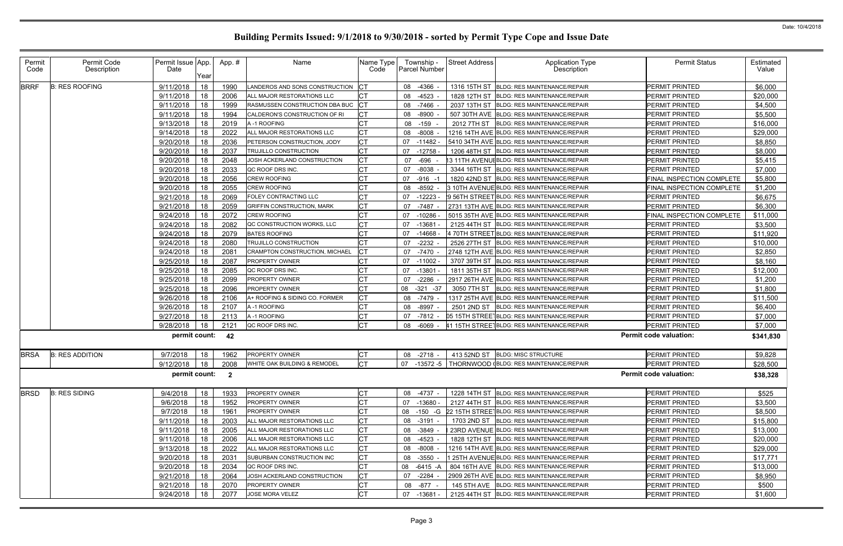| Permit<br>Code | Permit Code<br>Description | Permit Issue App.<br>Date | Year | App.# | Name                                                 | Name Type<br>Code | Township -<br><b>Parcel Number</b> | <b>Street Address</b> | <b>Application Type</b><br>Description                 | <b>Permit Status</b>          | Estimated<br>Value |
|----------------|----------------------------|---------------------------|------|-------|------------------------------------------------------|-------------------|------------------------------------|-----------------------|--------------------------------------------------------|-------------------------------|--------------------|
| <b>BRRF</b>    | <b>B: RES ROOFING</b>      | 9/11/2018                 | 18   | 1990  | LANDEROS AND SONS CONSTRUCTION                       | CТ                | -4366<br>08                        |                       | 1316 15TH ST BLDG: RES MAINTENANCE/REPAIR              | PERMIT PRINTED                | \$6,000            |
|                |                            | 9/11/2018                 | 18   | 2006  | ALL MAJOR RESTORATIONS LLC                           |                   | 08 -4523                           |                       | 1828 12TH ST BLDG: RES MAINTENANCE/REPAIR              | PERMIT PRINTED                | \$20,000           |
|                |                            | 9/11/2018                 | 18   | 1999  | RASMUSSEN CONSTRUCTION DBA BUC                       | СT                | 08 -7466                           |                       | 2037 13TH ST BLDG: RES MAINTENANCE/REPAIR              | PERMIT PRINTED                | \$4,500            |
|                |                            | 9/11/2018                 | 18   | 1994  | CALDERON'S CONSTRUCTION OF RI                        | CТ                | 08 -8900                           |                       | 507 30TH AVE BLDG: RES MAINTENANCE/REPAIR              | PERMIT PRINTED                | \$5,500            |
|                |                            | 9/13/2018                 | 18   | 2019  | A-1 ROOFING                                          | СT                | $-159$ -<br>08                     | 2012 7TH ST           | <b>BLDG: RES MAINTENANCE/REPAIR</b>                    | PERMIT PRINTED                | \$16,000           |
|                |                            | 9/14/2018                 | 18   | 2022  | ALL MAJOR RESTORATIONS LLC                           | СT                | $-8008$<br>08                      |                       | 1216 14TH AVE BLDG: RES MAINTENANCE/REPAIR             | PERMIT PRINTED                | \$29,000           |
|                |                            | 9/20/2018                 | 18   | 2036  | PETERSON CONSTRUCTION, JODY                          | C <sub>T</sub>    | 07<br>$-11482$                     |                       | 5410 34TH AVE BLDG: RES MAINTENANCE/REPAIR             | PERMIT PRINTED                | \$8,850            |
|                |                            | 9/20/2018                 | 18   | 2037  | TRUJILLO CONSTRUCTION                                | СT                | 07<br>$-12758$                     |                       | 1206 48TH ST BLDG: RES MAINTENANCE/REPAIR              | PERMIT PRINTED                | \$8,000            |
|                |                            | 9/20/2018                 | 18   | 2048  | JOSH ACKERLAND CONSTRUCTION                          | СT                | 07<br>$-696$                       |                       | 13 11TH AVENUI BLDG: RES MAINTENANCE/REPAIR            | PERMIT PRINTED                | \$5,415            |
|                |                            | 9/20/2018                 | 18   | 2033  | QC ROOF DRS INC.                                     |                   | $-8038$<br>07                      |                       | 3344 16TH ST BLDG: RES MAINTENANCE/REPAIR              | PERMIT PRINTED                | \$7,000            |
|                |                            | 9/20/2018                 | 18   | 2056  | <b>CREW ROOFING</b>                                  | СT                | 07 -916 -1                         |                       | 1820 42ND ST BLDG: RES MAINTENANCE/REPAIR              | FINAL INSPECTION COMPLETE     | \$5,800            |
|                |                            | 9/20/2018                 | 18   | 2055  | <b>CREW ROOFING</b>                                  | СT                | 08<br>$-8592$                      |                       | 3 10TH AVENUE BLDG: RES MAINTENANCE/REPAIR             | FINAL INSPECTION COMPLETE     | \$1,200            |
|                |                            | 9/21/2018                 | 18   | 2069  | FOLEY CONTRACTING LLC                                | CТ                | 07<br>$-12223$                     |                       | 9 56TH STREET BLDG: RES MAINTENANCE/REPAIR             | PERMIT PRINTED                | \$6,675            |
|                |                            | 9/21/2018                 | 18   | 2059  | <b>GRIFFIN CONSTRUCTION, MARK</b>                    | СT                | $-7487$<br>07                      |                       | 2731 13TH AVE BLDG: RES MAINTENANCE/REPAIR             | PERMIT PRINTED                | \$6,300            |
|                |                            | 9/24/2018                 | 18   | 2072  | <b>CREW ROOFING</b>                                  | C1                | 07<br>$-10286$                     |                       | 5015 35TH AVE BLDG: RES MAINTENANCE/REPAIR             | FINAL INSPECTION COMPLETE     | \$11,000           |
|                |                            | 9/24/2018                 | 18   | 2082  | QC CONSTRUCTION WORKS, LLC                           | СT                | 07<br>$-13681$                     |                       | 2125 44TH ST BLDG: RES MAINTENANCE/REPAIR              | PERMIT PRINTED                | \$3,500            |
|                |                            | 9/24/2018                 | 18   | 2079  | <b>BATES ROOFING</b>                                 |                   | 07<br>$-14668$                     |                       | 470TH STREET BLDG: RES MAINTENANCE/REPAIR              | PERMIT PRINTED                | \$11,920           |
|                |                            | 9/24/2018                 | 18   | 2080  | TRUJILLO CONSTRUCTION                                | СT                | $-2232$<br>07                      |                       | 2526 27TH ST BLDG: RES MAINTENANCE/REPAIR              | PERMIT PRINTED                | \$10,000           |
|                |                            | 9/24/2018                 | 18   | 208'  | CRAMPTON CONSTRUCTION, MICHAEL                       |                   | $-7470$<br>07                      |                       | 2748 12TH AVE BLDG: RES MAINTENANCE/REPAIR             | PERMIT PRINTED                | \$2,850            |
|                |                            | 9/25/2018                 | 18   | 2087  | <b>PROPERTY OWNER</b>                                | CТ                | 07<br>$-11002$                     |                       | 3707 39TH ST BLDG: RES MAINTENANCE/REPAIR              | PERMIT PRINTED                | \$8,160            |
|                |                            | 9/25/2018                 | 18   | 2085  | QC ROOF DRS INC.                                     | СT                | 07<br>$-13801$                     |                       | 1811 35TH ST BLDG: RES MAINTENANCE/REPAIR              | PERMIT PRINTED                | \$12,000           |
|                |                            | 9/25/2018                 | 18   | 2099  | <b>PROPERTY OWNER</b>                                | СT                | 07<br>-2286                        |                       | 2917 26TH AVE BLDG: RES MAINTENANCE/REPAIR             | PERMIT PRINTED                | \$1,200            |
|                |                            | 9/25/2018                 | 18   | 2096  | <b>PROPERTY OWNER</b>                                | СT                | 08<br>$-321 - 37$                  | 3050 7TH ST           | <b>BLDG: RES MAINTENANCE/REPAIR</b>                    | PERMIT PRINTED                | \$1,800            |
|                |                            | 9/26/2018                 | 18   | 2106  | A+ ROOFING & SIDING CO. FORMER                       | C <sub>1</sub>    | 08 -7479                           |                       | 1317 25TH AVE BLDG: RES MAINTENANCE/REPAIR             | PERMIT PRINTED                | \$11,500           |
|                |                            | 9/26/2018                 | 18   | 2107  | A-1 ROOFING                                          | <b>CT</b>         | $-8997$<br>08                      | 2501 2ND ST           | <b>BLDG: RES MAINTENANCE/REPAIR</b>                    | PERMIT PRINTED                | \$6,400            |
|                |                            | 9/27/2018                 | 18   | 2113  | A-1 ROOFING                                          | СT                | -7812<br>07                        |                       | 05 15TH STREETBLDG: RES MAINTENANCE/REPAIR             | PERMIT PRINTED                | \$7,000            |
|                |                            | 9/28/2018                 | 18   | 2121  | QC ROOF DRS INC.                                     | <b>CT</b>         | 08 -6069                           |                       | 41 15TH STREETBLDG: RES MAINTENANCE/REPAIR             | PERMIT PRINTED                | \$7,000            |
|                |                            | permit count:             |      | 42    |                                                      |                   |                                    |                       |                                                        | <b>Permit code valuation:</b> | \$341,830          |
| <b>BRSA</b>    | <b>B: RES ADDITION</b>     | 9/7/2018                  | 18   | 1962  | <b>PROPERTY OWNER</b>                                | <b>CT</b>         | 08 -2718                           | 413 52ND ST           | <b>BLDG: MISC STRUCTURE</b>                            | PERMIT PRINTED                | \$9,828            |
|                |                            |                           |      |       | 9/12/2018   18   2008   WHITE OAK BUILDING & REMODEL | IСT               |                                    |                       | 07 -13572 -5   THORNWOOD (BLDG: RES MAINTENANCE/REPAIR | <b>PERMIT PRINTED</b>         | \$28,500           |
|                |                            | permit count: 2           |      |       |                                                      |                   |                                    |                       |                                                        | <b>Permit code valuation:</b> | \$38,328           |
| <b>BRSD</b>    | <b>B: RES SIDING</b>       | 9/4/2018                  | 18   | 1933  | PROPERTY OWNER                                       | СT                | 08 -4737 -                         |                       | 1228 14TH ST BLDG: RES MAINTENANCE/REPAIR              | PERMIT PRINTED                | \$525              |
|                |                            | 9/6/2018                  | 18   | 1952  | PROPERTY OWNER                                       | СT                | 07 -13680 -                        |                       | 2127 44TH ST BLDG: RES MAINTENANCE/REPAIR              | PERMIT PRINTED                | \$3,500            |
|                |                            | 9/7/2018                  | 18   | 1961  | PROPERTY OWNER                                       | СT                | 08<br>-150 -G                      |                       | 22 15TH STREET BLDG: RES MAINTENANCE/REPAIR            | PERMIT PRINTED                | \$8,500            |
|                |                            | 9/11/2018                 | 18   | 2003  | ALL MAJOR RESTORATIONS LLC                           | СT                | 08 -3191                           |                       | 1703 2ND ST BLDG: RES MAINTENANCE/REPAIR               | PERMIT PRINTED                | \$15,800           |
|                |                            | 9/11/2018                 | 18   | 2005  | ALL MAJOR RESTORATIONS LLC                           | СT                | 08<br>-3849 -                      |                       | 23RD AVENUE BLDG: RES MAINTENANCE/REPAIR               | PERMIT PRINTED                | \$13,000           |
|                |                            | 9/11/2018                 | 18   | 2006  | ALL MAJOR RESTORATIONS LLC                           | СT                | 08 -4523                           |                       | 1828 12TH ST BLDG: RES MAINTENANCE/REPAIR              | PERMIT PRINTED                | \$20,000           |
|                |                            | 9/13/2018                 | 18   | 2022  | ALL MAJOR RESTORATIONS LLC                           | <b>CT</b>         | 08 -8008                           |                       | 1216 14TH AVE BLDG: RES MAINTENANCE/REPAIR             | <b>PERMIT PRINTED</b>         | \$29,000           |
|                |                            | 9/20/2018                 | 18   | 2031  | SUBURBAN CONSTRUCTION INC                            | СT                | 08 -3550                           |                       | 1 25TH AVENUE BLDG: RES MAINTENANCE/REPAIR             | PERMIT PRINTED                | \$17,771           |
|                |                            | 9/20/2018                 | 18   | 2034  | QC ROOF DRS INC.                                     | СT                | 08<br>-6415 -A                     |                       | 804 16TH AVE BLDG: RES MAINTENANCE/REPAIR              | PERMIT PRINTED                | \$13,000           |
|                |                            | 9/21/2018                 | 18   | 2064  | JOSH ACKERLAND CONSTRUCTION                          | СT                | 07<br>-2284                        |                       | 2909 26TH AVE BLDG: RES MAINTENANCE/REPAIR             | PERMIT PRINTED                | \$8,950            |
|                |                            | 9/21/2018                 | 18   | 2070  | PROPERTY OWNER                                       | <b>CT</b>         | 08 -877 -                          |                       | 145 5TH AVE   BLDG: RES MAINTENANCE/REPAIR             | PERMIT PRINTED                | \$500              |
|                |                            | 9/24/2018                 | 18   | 2077  | JOSE MORA VELEZ                                      | <b>CT</b>         | 07 -13681 -                        |                       | 2125 44TH ST BLDG: RES MAINTENANCE/REPAIR              | PERMIT PRINTED                | \$1,600            |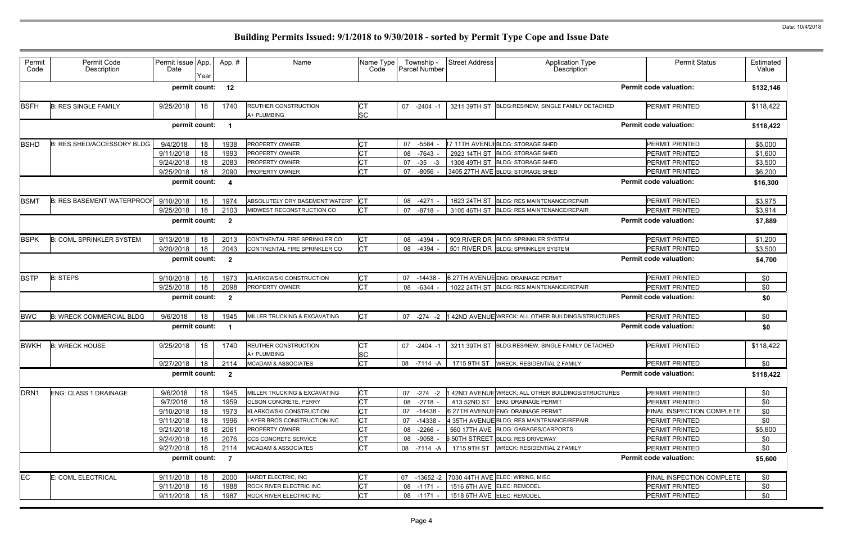| Permit<br>Code   | Permit Code<br>Description        | Permit Issue App.<br>Date | Year | App.#                   | Name                                                       | Name Type<br>Code      | Township -<br>Parcel Number | <b>Street Address</b>      | <b>Application Type</b><br><b>Description</b>       | <b>Permit Status</b>          | Estimated<br>Value |
|------------------|-----------------------------------|---------------------------|------|-------------------------|------------------------------------------------------------|------------------------|-----------------------------|----------------------------|-----------------------------------------------------|-------------------------------|--------------------|
|                  |                                   | permit count:             |      | 12                      |                                                            |                        |                             |                            |                                                     | <b>Permit code valuation:</b> | \$132,146          |
| <b>BSFH</b>      | <b>B: RES SINGLE FAMILY</b>       | 9/25/2018                 | 18   | 1740                    | <b>REUTHER CONSTRUCTION</b><br>A+ PLUMBING                 | <b>CT</b><br><b>SC</b> | 07 -2404 -1                 |                            | 3211 39TH ST BLDG:RES/NEW, SINGLE FAMILY DETACHED   | PERMIT PRINTED                | \$118,422          |
|                  |                                   | permit count:             |      | - 1                     |                                                            |                        |                             |                            |                                                     | <b>Permit code valuation:</b> | \$118,422          |
| <b>BSHD</b>      | <b>B: RES SHED/ACCESSORY BLDG</b> | 9/4/2018                  | 18   | 1938                    | <b>PROPERTY OWNER</b>                                      | <b>CT</b>              | 07 -5584                    |                            | 17 11TH AVENUIBLDG: STORAGE SHED                    | PERMIT PRINTED                | \$5,000            |
|                  |                                   | 9/11/2018                 | 18   | 1993                    | PROPERTY OWNER                                             |                        | -7643<br>08                 |                            | 2923 14TH ST BLDG: STORAGE SHED                     | PERMIT PRINTED                | \$1,600            |
|                  |                                   | 9/24/2018                 | 18   | 2083                    | <b>PROPERTY OWNER</b>                                      | СT                     | 07<br>$-35 -3$              |                            | 1308 49TH ST BLDG: STORAGE SHED                     | PERMIT PRINTED                | \$3,500            |
|                  |                                   | 9/25/2018                 | 18   | 2090                    | <b>PROPERTY OWNER</b>                                      | <b>CT</b>              | 07<br>$-8056 -$             |                            | 3405 27TH AVE BLDG: STORAGE SHED                    | PERMIT PRINTED                | \$6,200            |
|                  |                                   | permit count:             |      | -4                      |                                                            |                        |                             |                            |                                                     | <b>Permit code valuation:</b> | \$16,300           |
| <b>BSMT</b>      | <b>B: RES BASEMENT WATERPROOF</b> | 9/10/2018                 | 18   | 1974                    | ABSOLUTELY DRY BASEMENT WATERP                             | Iст                    | 08 -4271                    |                            | 1623 24TH ST BLDG: RES MAINTENANCE/REPAIR           | PERMIT PRINTED                | \$3,975            |
|                  |                                   | 9/25/2018                 | 18   | 2103                    | MIDWEST RECONSTRUCTION CO                                  | <b>CT</b>              | 07 -8718                    |                            | 3105 46TH ST BLDG: RES MAINTENANCE/REPAIR           | PERMIT PRINTED                | \$3,914            |
|                  |                                   | permit count:             |      | $\overline{\mathbf{2}}$ |                                                            |                        |                             |                            |                                                     | <b>Permit code valuation:</b> | \$7,889            |
| <b>BSPK</b>      | <b>B: COML SPRINKLER SYSTEM</b>   | 9/13/2018                 | 18   | 2013                    | CONTINENTAL FIRE SPRINKLER CO                              | <b>CT</b>              | -4394<br>08                 |                            | 909 RIVER DR BLDG: SPRINKLER SYSTEM                 | <b>PERMIT PRINTED</b>         | \$1,200            |
|                  |                                   | 9/20/2018                 | 18   | 2043                    | CONTINENTAL FIRE SPRINKLER CO                              | <b>CT</b>              | -4394<br>08                 |                            | 501 RIVER DR BLDG: SPRINKLER SYSTEM                 | PERMIT PRINTED                | \$3,500            |
|                  |                                   | permit count:             |      | $\overline{\mathbf{2}}$ |                                                            |                        |                             |                            |                                                     | <b>Permit code valuation:</b> | \$4,700            |
| <b>BSTP</b>      | <b>B: STEPS</b>                   | 9/10/2018                 | 18   | 1973                    | KLARKOWSKI CONSTRUCTION                                    | <b>CT</b>              | $-14438$<br>07              |                            | 6 27TH AVENUE ENG: DRAINAGE PERMIT                  | PERMIT PRINTED                | \$0                |
|                  |                                   | 9/25/2018                 | 18   | 2098                    | PROPERTY OWNER                                             | <b>CT</b>              | $-6344$<br>08               |                            | 1022 24TH ST BLDG: RES MAINTENANCE/REPAIR           | PERMIT PRINTED                | \$0                |
|                  |                                   | permit count:             |      | $\overline{\mathbf{2}}$ |                                                            |                        |                             |                            |                                                     | <b>Permit code valuation:</b> | \$0                |
| <b>BWC</b>       | <b>B: WRECK COMMERCIAL BLDG</b>   | 9/6/2018                  | 18   | 1945                    | MILLER TRUCKING & EXCAVATING                               | <b>CT</b>              | 07 -274 -2                  |                            | 142ND AVENUE WRECK: ALL OTHER BUILDINGS/STRUCTURES  | PERMIT PRINTED                | \$0                |
|                  |                                   | permit count:             |      | - 1                     |                                                            |                        |                             |                            |                                                     | <b>Permit code valuation:</b> | \$0                |
| <b>BWKH</b>      | <b>B: WRECK HOUSE</b>             | 9/25/2018                 | 18   | 1740                    | <b>REUTHER CONSTRUCTION</b>                                | <b>CT</b><br><b>SC</b> | 07 -2404 -1                 |                            | 3211 39TH ST BLDG:RES/NEW, SINGLE FAMILY DETACHED   | PERMIT PRINTED                | \$118,422          |
|                  |                                   |                           |      |                         | A+ PLUMBING<br>9/27/2018   18   2114   MCADAM & ASSOCIATES | <b>CT</b>              |                             |                            | 08 -7114 -A 1715 9TH ST WRECK: RESIDENTIAL 2 FAMILY | PERMIT PRINTED                | \$0                |
|                  |                                   | permit count: 2           |      |                         |                                                            |                        |                             |                            |                                                     | <b>Permit code valuation:</b> | \$118,422          |
| DRN <sub>1</sub> | ENG: CLASS 1 DRAINAGE             | 9/6/2018                  | 18   | 1945                    | MILLER TRUCKING & EXCAVATING                               | <b>CT</b>              | 07 -274 -2                  |                            | 142ND AVENUE WRECK: ALL OTHER BUILDINGS/STRUCTURES  | PERMIT PRINTED                | \$0                |
|                  |                                   | 9/7/2018                  | 18   | 1959                    | <b>OLSON CONCRETE, PERRY</b>                               | <b>CT</b>              | 08 -2718 -                  |                            | 413 52ND ST ENG: DRAINAGE PERMIT                    | <b>PERMIT PRINTED</b>         | \$0                |
|                  |                                   | 9/10/2018                 | 18   | 1973                    | KLARKOWSKI CONSTRUCTION                                    | СT                     | 07 -14438 -                 |                            | 6 27TH AVENUE ENG: DRAINAGE PERMIT                  | FINAL INSPECTION COMPLETE     | \$0                |
|                  |                                   | 9/11/2018                 | 18   | 1996                    | LAYER BROS CONSTRUCTION INC                                | СT                     | 07 -14338 -                 |                            | 4 35TH AVENUE BLDG: RES MAINTENANCE/REPAIR          | PERMIT PRINTED                | \$0                |
|                  |                                   | 9/21/2018                 | 18   | 2061                    | PROPERTY OWNER                                             | <b>CT</b>              | 08 -2266                    |                            | 560 17TH AVE BLDG: GARAGES/CARPORTS                 | PERMIT PRINTED                | \$5,600            |
|                  |                                   | 9/24/2018                 | 18   | 2076                    | CCS CONCRETE SERVICE                                       | <b>CT</b>              | 08 -9058 -                  |                            | 6 50TH STREET BLDG: RES DRIVEWAY                    | PERMIT PRINTED                | \$0                |
|                  |                                   | 9/27/2018                 | 18   | 2114                    | MCADAM & ASSOCIATES                                        | <b>CT</b>              | 08 -7114 -A                 |                            | 1715 9TH ST   WRECK: RESIDENTIAL 2 FAMILY           | PERMIT PRINTED                | \$0                |
|                  |                                   | permit count:             |      | $\overline{7}$          |                                                            |                        |                             |                            |                                                     | <b>Permit code valuation:</b> | \$5,600            |
| <b>EC</b>        | E: COML ELECTRICAL                | 9/11/2018                 | 18   | 2000                    | HARDT ELECTRIC, INC                                        | <b>CT</b>              |                             |                            | 07 -13652 -2 7030 44TH AVE ELEC: WIRING, MISC       | FINAL INSPECTION COMPLETE     | \$0                |
|                  |                                   | 9/11/2018                 | 18   | 1988                    | ROCK RIVER ELECTRIC INC                                    | <b>CT</b>              | 08 -1171 -                  | 1516 6TH AVE ELEC: REMODEL |                                                     | PERMIT PRINTED                | \$0                |
|                  |                                   | 9/11/2018                 | 18   | 1987                    | ROCK RIVER ELECTRIC INC                                    | <b>CT</b>              | 08 -1171 -                  | 1518 6TH AVE ELEC: REMODEL |                                                     | PERMIT PRINTED                | \$0                |
|                  |                                   |                           |      |                         |                                                            |                        |                             |                            |                                                     |                               |                    |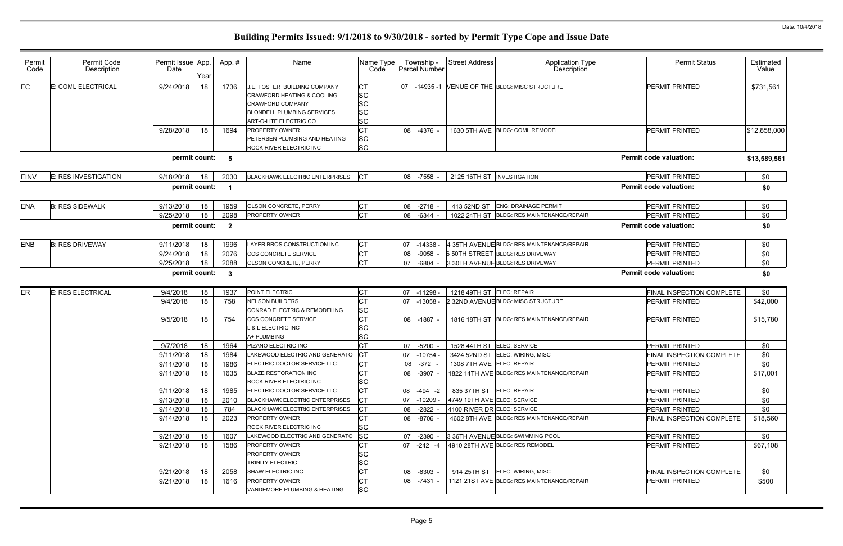| Permit<br>Code | Permit Code<br>Description | Permit Issue App.<br>Date | Year | App.#                   | Name                                                                                                                                                        | Name Type<br>Code                                      | Township -<br>Parcel Number | <b>Street Address</b>       | <b>Application Type</b><br>Description     | <b>Permit Status</b>             | Estimated<br>Value |
|----------------|----------------------------|---------------------------|------|-------------------------|-------------------------------------------------------------------------------------------------------------------------------------------------------------|--------------------------------------------------------|-----------------------------|-----------------------------|--------------------------------------------|----------------------------------|--------------------|
| EC             | E: COML ELECTRICAL         | 9/24/2018                 | 18   | 1736                    | J.E. FOSTER BUILDING COMPANY<br>CRAWFORD HEATING & COOLING<br><b>CRAWFORD COMPANY</b><br><b>BLONDELL PLUMBING SERVICES</b><br><b>ART-O-LITE ELECTRIC CO</b> | <b>CT</b><br><b>SC</b><br>SC<br><b>SC</b><br><b>SC</b> | 07 -14935 -1                |                             | VENUE OF THE BLDG: MISC STRUCTURE          | <b>PERMIT PRINTED</b>            | \$731,561          |
|                |                            | 9/28/2018                 | 18   | 1694                    | <b>PROPERTY OWNER</b><br>PETERSEN PLUMBING AND HEATING<br>ROCK RIVER ELECTRIC INC                                                                           | <b>SC</b><br><b>SC</b>                                 | 08 -4376 -                  |                             | 1630 5TH AVE BLDG: COML REMODEL            | <b>PERMIT PRINTED</b>            | \$12,858,000       |
|                |                            | permit count: 5           |      |                         |                                                                                                                                                             |                                                        |                             |                             |                                            | <b>Permit code valuation:</b>    | \$13,589,561       |
| <b>EINV</b>    | E: RES INVESTIGATION       | 9/18/2018                 | 18   | 2030                    | <b>BLACKHAWK ELECTRIC ENTERPRISES</b>                                                                                                                       | <b>ICT</b>                                             | 08 -7558                    | 2125 16TH ST INVESTIGATION  |                                            | PERMIT PRINTED                   | \$0                |
|                |                            | permit count:             |      | - 1                     |                                                                                                                                                             |                                                        |                             |                             |                                            | <b>Permit code valuation:</b>    | \$0                |
| <b>ENA</b>     | <b>B: RES SIDEWALK</b>     | 9/13/2018                 | 18   | 1959                    | OLSON CONCRETE, PERRY                                                                                                                                       | <b>CT</b>                                              | $-2718$ -<br>08             | 413 52ND ST                 | <b>ENG: DRAINAGE PERMIT</b>                | PERMIT PRINTED                   | \$0                |
|                |                            | 9/25/2018                 | 18   | 2098                    | PROPERTY OWNER                                                                                                                                              | <b>CT</b>                                              | 08<br>-6344 -               | 1022 24TH ST                | <b>BLDG: RES MAINTENANCE/REPAIR</b>        | <b>PERMIT PRINTED</b>            | \$0                |
|                |                            | permit count:             |      | $\overline{\mathbf{2}}$ |                                                                                                                                                             |                                                        |                             |                             |                                            | <b>Permit code valuation:</b>    | \$0                |
| <b>ENB</b>     | <b>B: RES DRIVEWAY</b>     | 9/11/2018                 | 18   | 1996                    | LAYER BROS CONSTRUCTION INC                                                                                                                                 | Iст                                                    | $-14338$<br>07              |                             | 4 35TH AVENUE BLDG: RES MAINTENANCE/REPAIR | PERMIT PRINTED                   | \$0                |
|                |                            | 9/24/2018                 | 18   | 2076                    | CCS CONCRETE SERVICE                                                                                                                                        | <b>CT</b>                                              | $-9058$<br>08               |                             | 6 50TH STREET BLDG: RES DRIVEWAY           | PERMIT PRINTED                   | \$0                |
|                |                            | 9/25/2018                 | 18   | 2088                    | OLSON CONCRETE, PERRY                                                                                                                                       | <b>CT</b>                                              | 07<br>-6804 -               |                             | 3 30TH AVENUE BLDG: RES DRIVEWAY           | <b>PERMIT PRINTED</b>            | \$0                |
|                |                            | permit count:             |      | - 3                     |                                                                                                                                                             |                                                        |                             |                             |                                            | <b>Permit code valuation:</b>    | \$0                |
| <b>ER</b>      | <b>E: RES ELECTRICAL</b>   | 9/4/2018                  | 18   | 1937                    | POINT ELECTRIC                                                                                                                                              | СT                                                     | $-11298$<br>07              | 1218 49TH ST ELEC: REPAIR   |                                            | FINAL INSPECTION COMPLETE        | \$0                |
|                |                            | 9/4/2018                  | 18   | 758                     | <b>NELSON BUILDERS</b><br>CONRAD ELECTRIC & REMODELING                                                                                                      | <b>CT</b><br><b>SC</b>                                 | 07<br>$-13058$              |                             | 2 32ND AVENUEBLDG: MISC STRUCTURE          | <b>PERMIT PRINTED</b>            | \$42,000           |
|                |                            | 9/5/2018                  | 18   | 754                     | CCS CONCRETE SERVICE<br><b>&amp; L ELECTRIC INC</b><br>A+ PLUMBING                                                                                          | <b>CT</b><br>SC<br><b>SC</b>                           | 08 -1887 -                  |                             | 1816 18TH ST BLDG: RES MAINTENANCE/REPAIR  | <b>PERMIT PRINTED</b>            | \$15,780           |
|                |                            | 9/7/2018                  | 18   | 1964                    | PIZANO ELECTRIC INC                                                                                                                                         | <b>CT</b>                                              | $-5200$<br>07               | 1528 44TH ST ELEC: SERVICE  |                                            | <b>PERMIT PRINTED</b>            | \$0                |
|                |                            | 9/11/2018                 | 18   | 1984                    | LAKEWOOD ELECTRIC AND GENERATO                                                                                                                              | <b>CT</b>                                              | $-10754$<br>07              |                             | 3424 52ND ST ELEC: WIRING, MISC            | FINAL INSPECTION COMPLETE        | \$0                |
|                |                            | 9/11/2018                 | 18   | 1986                    | ELECTRIC DOCTOR SERVICE LLC                                                                                                                                 | <b>CT</b>                                              | 08 - 372 -                  | 1308 7TH AVE ELEC: REPAIR   |                                            | PERMIT PRINTED                   | \$0                |
|                |                            | 9/11/2018                 | 18   | 1635                    | <b>BLAZE RESTORATION INC</b><br>ROCK RIVER ELECTRIC INC                                                                                                     | <b>CT</b><br>ΙSC                                       | 08 -3907 -                  |                             | 1822 14TH AVE BLDG: RES MAINTENANCE/REPAIR | <b>PERMIT PRINTED</b>            | \$17,001           |
|                |                            | 9/11/2018                 | 18   | 1985                    | ELECTRIC DOCTOR SERVICE LLC                                                                                                                                 | <b>CT</b>                                              | 08 -494 -2                  | 835 37TH ST ELEC: REPAIR    |                                            | <b>PERMIT PRINTED</b>            | \$0                |
|                |                            | 9/13/2018                 | 18   | 2010                    | <b>BLACKHAWK ELECTRIC ENTERPRISES</b>                                                                                                                       | Iст                                                    | $-10209$ -<br>07            | 4749 19TH AVE ELEC: SERVICE |                                            | <b>PERMIT PRINTED</b>            | \$0                |
|                |                            | 9/14/2018                 | 18   | 784                     | <b>BLACKHAWK ELECTRIC ENTERPRISES</b>                                                                                                                       | <b>CT</b>                                              | $-2822 -$<br>08             | 4100 RIVER DR ELEC: SERVICE |                                            | <b>PERMIT PRINTED</b>            | \$0                |
|                |                            | 9/14/2018                 | 18   | 2023                    | <b>PROPERTY OWNER</b><br>ROCK RIVER ELECTRIC INC                                                                                                            | <b>SC</b>                                              | 08 -8706 -                  |                             | 4602 8TH AVE BLDG: RES MAINTENANCE/REPAIR  | <b>FINAL INSPECTION COMPLETE</b> | \$18,560           |
|                |                            | 9/21/2018                 | 18   | 1607                    | LAKEWOOD ELECTRIC AND GENERATO                                                                                                                              | SC                                                     | -2390 -<br>07               |                             | 3 36TH AVENUE BLDG: SWIMMING POOL          | <b>PERMIT PRINTED</b>            | \$0                |
|                |                            | 9/21/2018                 | 18   | 1586                    | <b>PROPERTY OWNER</b><br><b>PROPERTY OWNER</b><br>TRINITY ELECTRIC                                                                                          | CT<br>SC<br>SC                                         | $07 - 242 - 4$              |                             | 4910 28TH AVE BLDG: RES REMODEL            | <b>PERMIT PRINTED</b>            | \$67,108           |
|                |                            | 9/21/2018                 | 18   | 2058                    | SHAW ELECTRIC INC                                                                                                                                           | <b>CT</b>                                              | 08<br>-6303 -               |                             | 914 25TH ST ELEC: WIRING, MISC             | <b>FINAL INSPECTION COMPLETE</b> | \$0                |
|                |                            | 9/21/2018                 | 18   | 1616                    | <b>PROPERTY OWNER</b>                                                                                                                                       | <b>CT</b>                                              | 08 -7431 -                  |                             | 1121 21ST AVE BLDG: RES MAINTENANCE/REPAIR | <b>PERMIT PRINTED</b>            | \$500              |
|                |                            |                           |      |                         | VANDEMORE PLUMBING & HEATING                                                                                                                                | <b>SC</b>                                              |                             |                             |                                            |                                  |                    |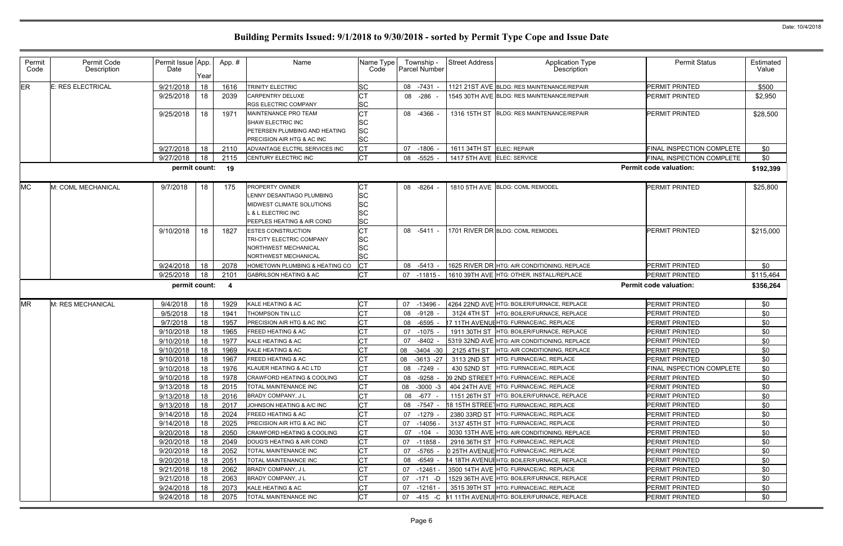| Permit<br>Code | Permit Code<br>Description | Permit Issue App.<br>Date | Year | App.# | Name                                                                                                                                           | Name Type<br>Code                         | Township -<br><b>Parcel Number</b> | <b>Street Address</b>      | <b>Application Type</b><br>Description       | <b>Permit Status</b>          | Estimated<br>Value |
|----------------|----------------------------|---------------------------|------|-------|------------------------------------------------------------------------------------------------------------------------------------------------|-------------------------------------------|------------------------------------|----------------------------|----------------------------------------------|-------------------------------|--------------------|
| <b>ER</b>      | E: RES ELECTRICAL          | 9/21/2018                 | 18   | 1616  | TRINITY ELECTRIC                                                                                                                               | <b>SC</b>                                 | 08 -7431                           |                            | 1121 21ST AVE BLDG: RES MAINTENANCE/REPAIR   | <b>PERMIT PRINTED</b>         | \$500              |
|                |                            | 9/25/2018                 | 18   | 2039  | CARPENTRY DELUXE<br><b>RGS ELECTRIC COMPANY</b>                                                                                                | <b>CT</b><br><b>SC</b>                    | 08 -286 -                          |                            | 1545 30TH AVE BLDG: RES MAINTENANCE/REPAIR   | <b>PERMIT PRINTED</b>         | \$2,950            |
|                |                            | 9/25/2018                 | 18   | 1971  | <b>MAINTENANCE PRO TEAM</b><br>SHAW ELECTRIC INC<br>PETERSEN PLUMBING AND HEATING<br>PRECISION AIR HTG & AC INC                                | <b>CT</b><br>SC<br><b>SC</b><br><b>SC</b> | 08 -4366 -                         | 1316 15TH ST               | <b>BLDG: RES MAINTENANCE/REPAIR</b>          | PERMIT PRINTED                | \$28,500           |
|                |                            | 9/27/2018                 | 18   | 2110  | ADVANTAGE ELCTRL SERVICES INC                                                                                                                  | <b>CT</b>                                 | 07<br>$-1806$                      | 1611 34TH ST ELEC: REPAIR  |                                              | FINAL INSPECTION COMPLETE     | \$0                |
|                |                            | 9/27/2018                 | 18   | 2115  | CENTURY ELECTRIC INC                                                                                                                           | <b>CT</b>                                 | $-5525$ -<br>08                    | 1417 5TH AVE ELEC: SERVICE |                                              | FINAL INSPECTION COMPLETE     | \$0                |
|                |                            | permit count:             |      | 19    |                                                                                                                                                |                                           |                                    |                            |                                              | <b>Permit code valuation:</b> | \$192,399          |
| <b>MC</b>      | M: COML MECHANICAL         | 9/7/2018                  | 18   | 175   | <b>PROPERTY OWNER</b><br>LENNY DESANTIAGO PLUMBING<br>MIDWEST CLIMATE SOLUTIONS<br><b>L &amp; L ELECTRIC INC</b><br>PEEPLES HEATING & AIR COND | <b>CT</b><br><b>SC</b><br>SC<br>SC<br>SC  | 08 -8264                           |                            | 1810 5TH AVE BLDG: COML REMODEL              | <b>PERMIT PRINTED</b>         | \$25,800           |
|                |                            | 9/10/2018                 | 18   | 1827  | <b>ESTES CONSTRUCTION</b><br>TRI-CITY ELECTRIC COMPANY<br><b>NORTHWEST MECHANICAL</b><br>NORTHWEST MECHANICAL                                  | <b>CT</b><br><b>SC</b><br>SC<br>SC        | 08 -5411 -                         |                            | 1701 RIVER DR BLDG: COML REMODEL             | <b>PERMIT PRINTED</b>         | \$215,000          |
|                |                            | 9/24/2018                 | 18   | 2078  | HOMETOWN PLUMBING & HEATING CO                                                                                                                 | <b>CT</b>                                 | 08 -5413 -                         |                            | 1625 RIVER DR HTG: AIR CONDITIONING, REPLACE | PERMIT PRINTED                | \$0                |
|                |                            | 9/25/2018                 | 18   | 2101  | <b>GABRILSON HEATING &amp; AC</b>                                                                                                              | <b>CT</b>                                 | 07 -11815 -                        |                            | 1610 39TH AVE HTG: OTHER, INSTALL/REPLACE    | <b>PERMIT PRINTED</b>         | \$115,464          |
|                |                            | permit count:             |      | - 4   |                                                                                                                                                |                                           |                                    |                            |                                              | <b>Permit code valuation:</b> | \$356,264          |
| <b>MR</b>      | M: RES MECHANICAL          | 9/4/2018                  | 18   | 1929  | KALE HEATING & AC                                                                                                                              | <b>CT</b>                                 | 07 -13496 -                        |                            | 4264 22ND AVE HTG: BOILER/FURNACE, REPLACE   | PERMIT PRINTED                | \$0                |
|                |                            | 9/5/2018                  | 18   | 1941  | THOMPSON TIN LLC                                                                                                                               | <b>CT</b>                                 | 08<br>-9128                        |                            | 3124 4TH ST   HTG: BOILER/FURNACE, REPLACE   | PERMIT PRINTED                | \$0                |
|                |                            | 9/7/2018                  | 18   | 1957  | PRECISION AIR HTG & AC INC                                                                                                                     | <b>CT</b>                                 | 08<br>$-6595$                      |                            | 17 11TH AVENUEHTG: FURNACE/AC, REPLACE       | PERMIT PRINTED                | \$0                |
|                |                            | 9/10/2018                 | 18   | 1965  | <b>FREED HEATING &amp; AC</b>                                                                                                                  | <b>CT</b>                                 | 07<br>$-1075$ -                    | 1911 30TH ST               | HTG: BOILER/FURNACE, REPLACE                 | PERMIT PRINTED                | \$0                |
|                |                            | 9/10/2018                 | 18   | 1977  | KALE HEATING & AC                                                                                                                              |                                           | $-8402$<br>07                      |                            | 5319 32ND AVE HTG: AIR CONDITIONING, REPLACE | PERMIT PRINTED                | \$0                |
|                |                            | 9/10/2018                 | 18   | 1969  | KALE HEATING & AC                                                                                                                              | <b>CT</b>                                 | 08<br>$-3404 - 30$                 | 2125 4TH ST                | HTG: AIR CONDITIONING, REPLACE               | PERMIT PRINTED                | \$0                |
|                |                            | 9/10/2018                 | 18   | 1967  | FREED HEATING & AC                                                                                                                             | <b>CT</b>                                 | 08<br>$-3613 -27$                  |                            | 3113 2ND ST HTG: FURNACE/AC, REPLACE         | <b>PERMIT PRINTED</b>         | \$0                |
|                |                            | 9/10/2018                 | 18   | 1976  | KLAUER HEATING & AC LTD                                                                                                                        | C <sub>T</sub>                            | 08 -7249 -                         |                            | 430 52ND ST HTG: FURNACE/AC, REPLACE         | FINAL INSPECTION COMPLETE     | \$0                |
|                |                            | 9/10/2018                 | 18   | 1978  | <b>CRAWFORD HEATING &amp; COOLING</b>                                                                                                          | CТ                                        | 08 -9258 -                         |                            | 09 2ND STREET HTG: FURNACE/AC, REPLACE       | PERMIT PRINTED                | \$0                |
|                |                            | 9/13/2018                 | 18   | 2015  | TOTAL MAINTENANCE INC                                                                                                                          | <b>CT</b>                                 | 08<br>$-3000 -3$                   |                            | 404 24TH AVE HTG: FURNACE/AC, REPLACE        | PERMIT PRINTED                | \$0                |
|                |                            | 9/13/2018                 | 18   | 2016  | BRADY COMPANY, J L                                                                                                                             | <b>CT</b>                                 | 08 - 677 -                         |                            | 1151 26TH ST HTG: BOILER/FURNACE, REPLACE    | PERMIT PRINTED                | \$0                |
|                |                            | 9/13/2018                 | 18   | 2017  | JOHNSON HEATING & A/C INC                                                                                                                      | <b>CT</b>                                 | 08<br>-7547 -                      |                            | 18 15TH STREETHTG: FURNACE/AC, REPLACE       | PERMIT PRINTED                | \$0                |
|                |                            | 9/14/2018                 | 18   | 2024  | FREED HEATING & AC                                                                                                                             | <b>CT</b>                                 | 07<br>-1279 -                      |                            | 2380 33RD ST HTG: FURNACE/AC, REPLACE        | PERMIT PRINTED                | \$0                |
|                |                            | 9/14/2018                 | 18   | 2025  | PRECISION AIR HTG & AC INC                                                                                                                     | <b>CT</b>                                 | 07 -14056 -                        |                            | 3137 45TH ST HTG: FURNACE/AC, REPLACE        | PERMIT PRINTED                | \$0                |
|                |                            | 9/20/2018                 | 18   | 2050  | <b>CRAWFORD HEATING &amp; COOLING</b>                                                                                                          | <b>CT</b>                                 | 07 -104 -                          |                            | 3030 13TH AVE HTG: AIR CONDITIONING, REPLACE | PERMIT PRINTED                | \$0                |
|                |                            | 9/20/2018                 | 18   | 2049  | DOUG'S HEATING & AIR COND                                                                                                                      | <b>CT</b>                                 | 07 -11858 -                        |                            | 2916 36TH ST HTG: FURNACE/AC, REPLACE        | <b>PERMIT PRINTED</b>         | \$0                |
|                |                            | 9/20/2018                 | 18   | 2052  | TOTAL MAINTENANCE INC                                                                                                                          | <b>CT</b>                                 | -5765 -<br>07                      |                            | 0 25TH AVENUE HTG: FURNACE/AC, REPLACE       | PERMIT PRINTED                | \$0                |
|                |                            | 9/20/2018                 | 18   | 2051  | TOTAL MAINTENANCE INC                                                                                                                          | <b>CT</b>                                 | 08 -6549 -                         |                            | 14 18TH AVENUIHTG: BOILER/FURNACE, REPLACE   | PERMIT PRINTED                | \$0                |
|                |                            | 9/21/2018                 | 18   | 2062  | BRADY COMPANY, J L                                                                                                                             | <b>CT</b>                                 | 07 -12461 -                        |                            | 3500 14TH AVE HTG: FURNACE/AC, REPLACE       | PERMIT PRINTED                | \$0                |
|                |                            | 9/21/2018                 | 18   | 2063  | <b>BRADY COMPANY, JL</b>                                                                                                                       | <b>CT</b>                                 | 07<br>-171 -D                      |                            | 1529 36TH AVE HTG: BOILER/FURNACE, REPLACE   | PERMIT PRINTED                | \$0                |
|                |                            |                           |      |       |                                                                                                                                                |                                           |                                    |                            |                                              |                               |                    |
|                |                            | 9/24/2018                 | 18   | 2073  | KALE HEATING & AC                                                                                                                              | <b>CT</b>                                 | 07<br>-12161 -                     |                            | 3515 39TH ST HTG: FURNACE/AC, REPLACE        | PERMIT PRINTED                | \$0                |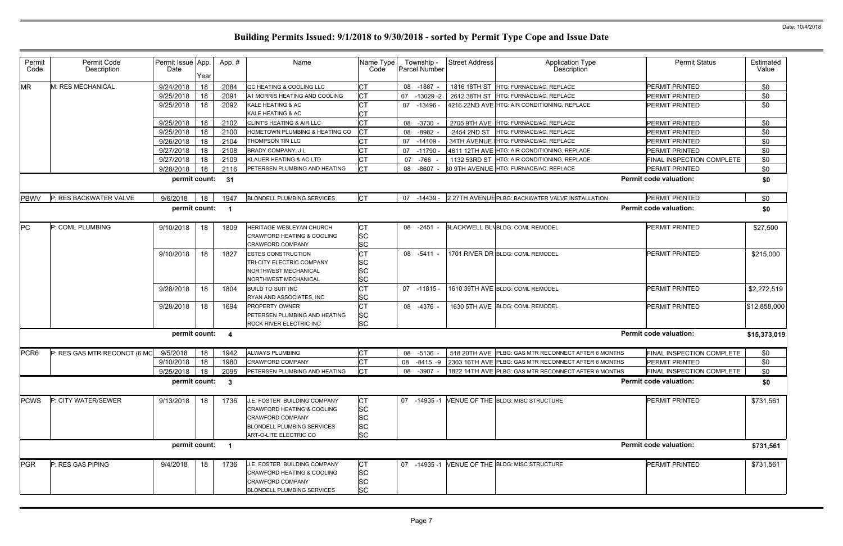| Permit<br>Code   | Permit Code<br>Description   | Permit Issue App.<br>Date | Year | App. #                  | Name                                                                                                                                                     | Name Type<br>Code                                             | Township -<br><b>Parcel Number</b> | <b>Street Address</b> | <b>Application Type</b><br>Description                        | <b>Permit Status</b>          | Estimated<br>Value |
|------------------|------------------------------|---------------------------|------|-------------------------|----------------------------------------------------------------------------------------------------------------------------------------------------------|---------------------------------------------------------------|------------------------------------|-----------------------|---------------------------------------------------------------|-------------------------------|--------------------|
| <b>MR</b>        | M: RES MECHANICAL            | 9/24/2018                 | 18   | 2084                    | QC HEATING & COOLING LLC                                                                                                                                 | <b>CT</b>                                                     | 08<br>$-1887 -$                    |                       | 1816 18TH ST HTG: FURNACE/AC, REPLACE                         | PERMIT PRINTED                | \$0                |
|                  |                              | 9/25/2018                 | 18   | 2091                    | A1 MORRIS HEATING AND COOLING                                                                                                                            | <b>CT</b>                                                     | 07<br>$-13029 - 2$                 | 2612 38TH ST          | HTG: FURNACE/AC, REPLACE                                      | PERMIT PRINTED                | \$0                |
|                  |                              | 9/25/2018                 | 18   | 2092                    | KALE HEATING & AC<br>KALE HEATING & AC                                                                                                                   | IСТ<br>IСТ                                                    | 07<br>-13496 -                     |                       | 4216 22ND AVE HTG: AIR CONDITIONING, REPLACE                  | <b>PERMIT PRINTED</b>         | \$0                |
|                  |                              | 9/25/2018                 | 18   | 2102                    | <b>CLINT'S HEATING &amp; AIR LLC</b>                                                                                                                     | <b>CT</b>                                                     | $-3730$<br>08                      |                       | 2705 9TH AVE HTG: FURNACE/AC, REPLACE                         | PERMIT PRINTED                | \$0                |
|                  |                              | 9/25/2018                 | 18   | 2100                    | HOMETOWN PLUMBING & HEATING CO                                                                                                                           | Iст                                                           | 08<br>$-8982$                      | 2454 2ND ST           | HTG: FURNACE/AC, REPLACE                                      | <b>PERMIT PRINTED</b>         | \$0                |
|                  |                              | 9/26/2018                 | 18   | 2104                    | <b>THOMPSON TIN LLC</b>                                                                                                                                  | Iст                                                           | $-14109$<br>07                     |                       | 34TH AVENUE   HTG: FURNACE/AC, REPLACE                        | PERMIT PRINTED                | \$0                |
|                  |                              | 9/27/2018                 | 18   | 2108                    | <b>BRADY COMPANY, JL</b>                                                                                                                                 | СT                                                            | 07<br>-11790                       |                       | 4611 12TH AVE HTG: AIR CONDITIONING, REPLACE                  | <b>PERMIT PRINTED</b>         | \$0                |
|                  |                              | 9/27/2018                 | 18   | 2109                    | KLAUER HEATING & AC LTD                                                                                                                                  | <b>CT</b>                                                     | $-766$<br>07                       | 1132 53RD ST          | HTG: AIR CONDITIONING, REPLACE                                | FINAL INSPECTION COMPLETE     | \$0                |
|                  |                              | 9/28/2018                 | 18   | 2116                    | PETERSEN PLUMBING AND HEATING                                                                                                                            | <b>ICT</b>                                                    | 08<br>-8607                        |                       | <b>80 9TH AVENUE HTG: FURNACE/AC, REPLACE</b>                 | <b>PERMIT PRINTED</b>         | \$0                |
|                  |                              | permit count:             |      | 31                      |                                                                                                                                                          |                                                               |                                    |                       |                                                               | <b>Permit code valuation:</b> | \$0                |
| <b>PBWV</b>      | P: RES BACKWATER VALVE       | 9/6/2018                  | 18   | 1947                    | <b>BLONDELL PLUMBING SERVICES</b>                                                                                                                        | <b>CT</b>                                                     | 07<br>-14439 -                     |                       | 2 27TH AVENUE PLBG: BACKWATER VALVE INSTALLATION              | PERMIT PRINTED                | \$0                |
|                  |                              | permit count:             |      | - 1                     |                                                                                                                                                          |                                                               |                                    |                       |                                                               | <b>Permit code valuation:</b> | \$0                |
| <b>PC</b>        | P: COML PLUMBING             | 9/10/2018                 | 18   | 1809                    | HERITAGE WESLEYAN CHURCH<br><b>CRAWFORD HEATING &amp; COOLING</b><br><b>CRAWFORD COMPANY</b>                                                             | <b>CT</b><br><b>SC</b><br><b>SC</b>                           | -2451 -<br>08                      |                       | <b>BLACKWELL BL\BLDG: COML REMODEL</b>                        | <b>PERMIT PRINTED</b>         | \$27,500           |
|                  |                              | 9/10/2018                 | 18   | 1827                    | <b>ESTES CONSTRUCTION</b><br><b>TRI-CITY ELECTRIC COMPANY</b><br>NORTHWEST MECHANICAL<br><b>NORTHWEST MECHANICAL</b>                                     | IСТ<br><b>SC</b><br><b>SC</b><br><b>SC</b>                    | 08 -5411 -                         |                       | 1701 RIVER DR BLDG: COML REMODEL                              | <b>PERMIT PRINTED</b>         | \$215,000          |
|                  |                              | 9/28/2018                 | 18   | 1804                    | <b>BUILD TO SUIT INC</b><br>RYAN AND ASSOCIATES, INC                                                                                                     | <b>CT</b><br><b>SC</b>                                        | $07 - 11815 -$                     |                       | 1610 39TH AVE BLDG: COML REMODEL                              | <b>PERMIT PRINTED</b>         | \$2,272,519        |
|                  |                              | 9/28/2018                 | 18   | 1694                    | <b>PROPERTY OWNER</b><br>PETERSEN PLUMBING AND HEATING<br><b>ROCK RIVER ELECTRIC INC</b>                                                                 | <b>CT</b><br><b>SC</b><br><b>SC</b>                           | 08 -4376 -                         |                       | 1630 5TH AVE BLDG: COML REMODEL                               | PERMIT PRINTED                | \$12,858,000       |
|                  |                              | permit count:             |      | $\overline{\mathbf{4}}$ |                                                                                                                                                          |                                                               |                                    |                       |                                                               | <b>Permit code valuation:</b> | \$15,373,019       |
| PCR <sub>6</sub> | P: RES GAS MTR RECONCT (6 MO | 9/5/2018                  | 18   | 1942                    | <b>ALWAYS PLUMBING</b>                                                                                                                                   | <b>CT</b>                                                     | 08 -5136 -                         |                       | 518 20TH AVE PLBG: GAS MTR RECONNECT AFTER 6 MONTHS           | FINAL INSPECTION COMPLETE     | \$0                |
|                  |                              | 9/10/2018 18              |      | 1980                    | <b>CRAWFORD COMPANY</b>                                                                                                                                  | CT                                                            | 08                                 |                       | -8415 -9 2303 16TH AVE PLBG: GAS MTR RECONNECT AFTER 6 MONTHS | PERMIT PRINTED                | \$0                |
|                  |                              | 9/25/2018                 | 18   | 2095                    | PETERSEN PLUMBING AND HEATING                                                                                                                            | <b>ICT</b>                                                    | -3907 -<br>08                      |                       | 1822 14TH AVE PLBG: GAS MTR RECONNECT AFTER 6 MONTHS          | FINAL INSPECTION COMPLETE     | \$0                |
|                  |                              | permit count:             |      | - 3                     |                                                                                                                                                          |                                                               |                                    |                       |                                                               | <b>Permit code valuation:</b> | \$0                |
| <b>PCWS</b>      | P: CITY WATER/SEWER          | 9/13/2018                 | 18   | 1736                    | J.E. FOSTER BUILDING COMPANY<br><b>CRAWFORD HEATING &amp; COOLING</b><br><b>CRAWFORD COMPANY</b><br>BLONDELL PLUMBING SERVICES<br>ART-O-LITE ELECTRIC CO | <b>CT</b><br><b>SC</b><br><b>SC</b><br><b>SC</b><br><b>SC</b> | 07 -14935 -1                       |                       | VENUE OF THE BLDG: MISC STRUCTURE                             | <b>PERMIT PRINTED</b>         | \$731,561          |
|                  |                              | permit count: 1           |      |                         |                                                                                                                                                          |                                                               |                                    |                       |                                                               | <b>Permit code valuation:</b> | \$731,561          |
| <b>PGR</b>       | P: RES GAS PIPING            | 9/4/2018                  | 18   | 1736                    | <b>J.E. FOSTER BUILDING COMPANY</b><br><b>CRAWFORD HEATING &amp; COOLING</b><br><b>CRAWFORD COMPANY</b><br><b>BLONDELL PLUMBING SERVICES</b>             | <b>CT</b><br><b>SC</b><br><b>SC</b><br><b>SC</b>              | 07 -14935 -1                       |                       | VENUE OF THE BLDG: MISC STRUCTURE                             | <b>PERMIT PRINTED</b>         | \$731,561          |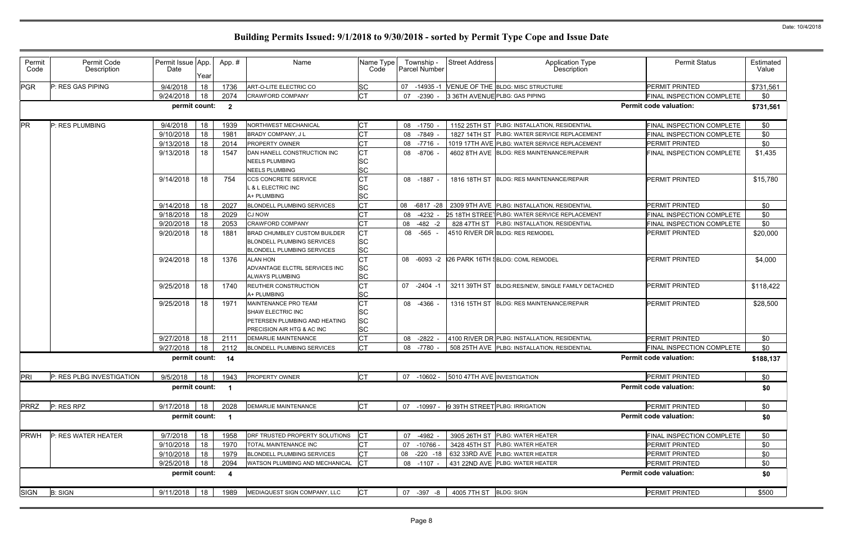| Permit<br>Code | Permit Code<br>Description | Permit Issue App.<br>Date | Year | App.#                    | Name                                                                                                            | Name Type<br>Code                                | Township -<br><b>Parcel Number</b> | <b>Street Address</b>       | <b>Application Type</b><br>Description            | <b>Permit Status</b>          | Estimated<br>Value |
|----------------|----------------------------|---------------------------|------|--------------------------|-----------------------------------------------------------------------------------------------------------------|--------------------------------------------------|------------------------------------|-----------------------------|---------------------------------------------------|-------------------------------|--------------------|
| <b>PGR</b>     | P: RES GAS PIPING          | 9/4/2018                  | 18   | 1736                     | ART-O-LITE ELECTRIC CO                                                                                          | <b>SC</b>                                        | 07<br>$-14935-1$                   |                             | VENUE OF THE BLDG: MISC STRUCTURE                 | <b>PERMIT PRINTED</b>         | \$731,561          |
|                |                            | 9/24/2018                 | 18   | 2074                     | <b>CRAWFORD COMPANY</b>                                                                                         | <b>CT</b>                                        | $-2390$<br>-07                     |                             | 3 36TH AVENUE PLBG: GAS PIPING                    | FINAL INSPECTION COMPLETE     | \$0                |
|                |                            | permit count:             |      | $\overline{\mathbf{2}}$  |                                                                                                                 |                                                  |                                    |                             |                                                   | <b>Permit code valuation:</b> | \$731,561          |
| <b>PR</b>      | P: RES PLUMBING            | 9/4/2018                  | 18   | 1939                     | NORTHWEST MECHANICAL                                                                                            | <b>CT</b>                                        | 08 -1750                           |                             | 1152 25TH ST PLBG: INSTALLATION, RESIDENTIAL      | FINAL INSPECTION COMPLETE     | \$0                |
|                |                            | 9/10/2018                 | 18   | 1981                     | BRADY COMPANY, J L                                                                                              | <b>CT</b>                                        | 08 -7849                           |                             | 1827 14TH ST PLBG: WATER SERVICE REPLACEMENT      | FINAL INSPECTION COMPLETE     | \$0                |
|                |                            | 9/13/2018                 | 18   | 2014                     | <b>PROPERTY OWNER</b>                                                                                           | <b>CT</b>                                        | 08 -7716                           |                             | 1019 17TH AVE PLBG: WATER SERVICE REPLACEMENT     | <b>PERMIT PRINTED</b>         | \$0                |
|                |                            | 9/13/2018                 | 18   | 1547                     | DAN HANELL CONSTRUCTION INC<br><b>NEELS PLUMBING</b><br><b>NEELS PLUMBING</b>                                   | <b>CT</b><br><b>SC</b><br><b>SC</b>              | 08 -8706                           |                             | 4602 8TH AVE BLDG: RES MAINTENANCE/REPAIR         | FINAL INSPECTION COMPLETE     | \$1,435            |
|                |                            | 9/14/2018                 | 18   | 754                      | <b>CCS CONCRETE SERVICE</b><br><b>&amp; L ELECTRIC INC</b><br>A+ PLUMBING                                       | <b>CT</b><br><b>SC</b><br><b>SC</b>              | 08 -1887 -                         |                             | 1816 18TH ST BLDG: RES MAINTENANCE/REPAIR         | <b>PERMIT PRINTED</b>         | \$15,780           |
|                |                            | 9/14/2018                 | 18   | 2027                     | <b>BLONDELL PLUMBING SERVICES</b>                                                                               | <b>CT</b>                                        | 08<br>-6817 -28                    |                             | 2309 9TH AVE PLBG: INSTALLATION, RESIDENTIAL      | <b>PERMIT PRINTED</b>         | \$0                |
|                |                            | 9/18/2018                 | 18   | 2029                     | <b>CJ NOW</b>                                                                                                   | <b>CT</b>                                        | 08<br>$-4232 -$                    |                             | 25 18TH STREET PLBG: WATER SERVICE REPLACEMENT    | FINAL INSPECTION COMPLETE     | \$0                |
|                |                            | 9/20/2018                 | 18   | 2053                     | <b>CRAWFORD COMPANY</b>                                                                                         | <b>CT</b>                                        | 08<br>$-482 - 2$                   |                             | 828 47TH ST   PLBG: INSTALLATION, RESIDENTIAL     | FINAL INSPECTION COMPLETE     | \$0                |
|                |                            | 9/20/2018                 | 18   | 1881                     | <b>BRAD CHUMBLEY CUSTOM BUILDER</b><br><b>BLONDELL PLUMBING SERVICES</b><br><b>BLONDELL PLUMBING SERVICES</b>   | <b>CT</b><br><b>SC</b><br><b>SC</b>              | 08 -565 -                          |                             | 4510 RIVER DR BLDG: RES REMODEL                   | PERMIT PRINTED                | \$20,000           |
|                |                            | 9/24/2018                 | 18   | 1376                     | <b>ALAN HON</b><br>ADVANTAGE ELCTRL SERVICES INC<br>ALWAYS PLUMBING                                             | <b>CT</b><br><b>SC</b><br><b>SC</b>              | 08 -6093 -2                        |                             | 26 PARK 16TH SBLDG: COML REMODEL                  | <b>PERMIT PRINTED</b>         | \$4,000            |
|                |                            | 9/25/2018                 | 18   | 1740                     | <b>REUTHER CONSTRUCTION</b><br>A+ PLUMBING                                                                      | <b>CT</b><br><b>SC</b>                           | 07<br>$-2404 -1$                   |                             | 3211 39TH ST BLDG:RES/NEW, SINGLE FAMILY DETACHED | <b>PERMIT PRINTED</b>         | \$118,422          |
|                |                            | 9/25/2018                 | 18   | 1971                     | MAINTENANCE PRO TEAM<br><b>SHAW ELECTRIC INC</b><br>PETERSEN PLUMBING AND HEATING<br>PRECISION AIR HTG & AC INC | <b>CT</b><br><b>SC</b><br><b>SC</b><br><b>SC</b> | 08 -4366                           |                             | 1316 15TH ST BLDG: RES MAINTENANCE/REPAIR         | <b>PERMIT PRINTED</b>         | \$28,500           |
|                |                            | 9/27/2018                 | 18   | 2111                     | <b>DEMARLIE MAINTENANCE</b>                                                                                     | <b>CT</b>                                        | 08 -2822                           |                             | 4100 RIVER DR PLBG: INSTALLATION, RESIDENTIAL     | <b>PERMIT PRINTED</b>         | \$0                |
|                |                            | 9/27/2018                 | 18   | 2112                     | <b>BLONDELL PLUMBING SERVICES</b>                                                                               | <b>CT</b>                                        | 08 -7780                           |                             | 508 25TH AVE PLBG: INSTALLATION, RESIDENTIAL      | FINAL INSPECTION COMPLETE     | \$0                |
|                |                            | permit count: 14          |      |                          |                                                                                                                 |                                                  |                                    |                             |                                                   | <b>Permit code valuation:</b> | \$188,137          |
| PRI            | P: RES PLBG INVESTIGATION  | 9/5/2018                  | 18   | 1943                     | <b>PROPERTY OWNER</b>                                                                                           | Iст                                              | $-10602 -$<br>07                   | 5010 47TH AVE INVESTIGATION |                                                   | <b>PERMIT PRINTED</b>         | \$0                |
|                |                            | permit count:             |      | $\overline{\phantom{0}}$ |                                                                                                                 |                                                  |                                    |                             |                                                   | <b>Permit code valuation:</b> | \$0                |
| <b>PRRZ</b>    | P: RES RPZ                 | 9/17/2018                 | 18   | 2028                     | <b>DEMARLIE MAINTENANCE</b>                                                                                     | <b>CT</b>                                        | 07 -10997 -                        |                             | 9 39TH STREET PLBG: IRRIGATION                    | PERMIT PRINTED                | \$0                |
|                |                            | permit count:             |      | $\overline{1}$           |                                                                                                                 |                                                  |                                    |                             |                                                   | <b>Permit code valuation:</b> | \$0                |
| <b>PRWH</b>    | P: RES WATER HEATER        | 9/7/2018                  | 18   | 1958                     | DRF TRUSTED PROPERTY SOLUTIONS                                                                                  | <b>CT</b>                                        | -4982<br>07                        |                             | 3905 26TH ST PLBG: WATER HEATER                   | FINAL INSPECTION COMPLETE     | \$0                |
|                |                            | 9/10/2018                 | 18   | 1970                     | TOTAL MAINTENANCE INC                                                                                           | <b>CT</b>                                        | 07<br>-10766 -                     |                             | 3428 45TH ST PLBG: WATER HEATER                   | PERMIT PRINTED                | \$0                |
|                |                            | 9/10/2018                 | 18   | 1979                     | <b>BLONDELL PLUMBING SERVICES</b>                                                                               | <b>CT</b>                                        | 08<br>$-220 - 18$                  |                             | 632 33RD AVE PLBG: WATER HEATER                   | PERMIT PRINTED                | \$0                |
|                |                            | 9/25/2018                 | 18   | 2094                     | WATSON PLUMBING AND MECHANICAL                                                                                  | <b>ICT</b>                                       | 08 -1107 -                         |                             | 431 22ND AVE PLBG: WATER HEATER                   | PERMIT PRINTED                | \$0                |
|                |                            | permit count:             |      | $\overline{\mathbf{4}}$  |                                                                                                                 |                                                  |                                    |                             |                                                   | <b>Permit code valuation:</b> | \$0                |
| <b>SIGN</b>    | <b>B: SIGN</b>             | 9/11/2018                 | 18   | 1989                     | MEDIAQUEST SIGN COMPANY, LLC                                                                                    | <b>CT</b>                                        | 07 -397 -8                         | 4005 7TH ST BLDG: SIGN      |                                                   | PERMIT PRINTED                | \$500              |
|                |                            |                           |      |                          |                                                                                                                 |                                                  |                                    |                             |                                                   |                               |                    |